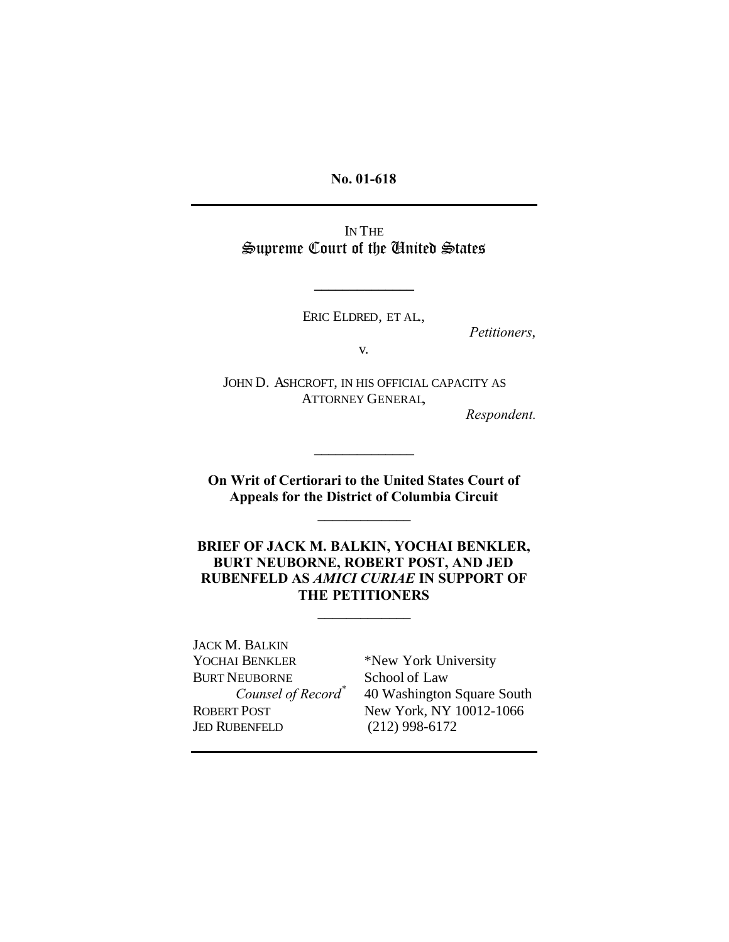**No. 01-618**

IN THE Supreme Court of the United States

ERIC ELDRED, ET AL.,

**\_\_\_\_\_\_\_\_\_\_\_\_\_\_**

*Petitioners*,

v.

JOHN D. ASHCROFT, IN HIS OFFICIAL CAPACITY AS ATTORNEY GENERAL,

*Respondent.*

**On Writ of Certiorari to the United States Court of Appeals for the District of Columbia Circuit**

**\_\_\_\_\_\_\_\_\_\_\_\_\_**

**\_\_\_\_\_\_\_\_\_\_\_\_\_\_**

**BRIEF OF JACK M. BALKIN, YOCHAI BENKLER, BURT NEUBORNE, ROBERT POST, AND JED RUBENFELD AS** *AMICI CURIAE* **IN SUPPORT OF THE PETITIONERS**

**\_\_\_\_\_\_\_\_\_\_\_\_\_**

JACK M. BALKIN YOCHAI BENKLER \*New York University BURT NEUBORNE School of Law *Counsel of Record\** JED RUBENFELD (212) 998-6172

40 Washington Square South ROBERT POST New York, NY 10012-1066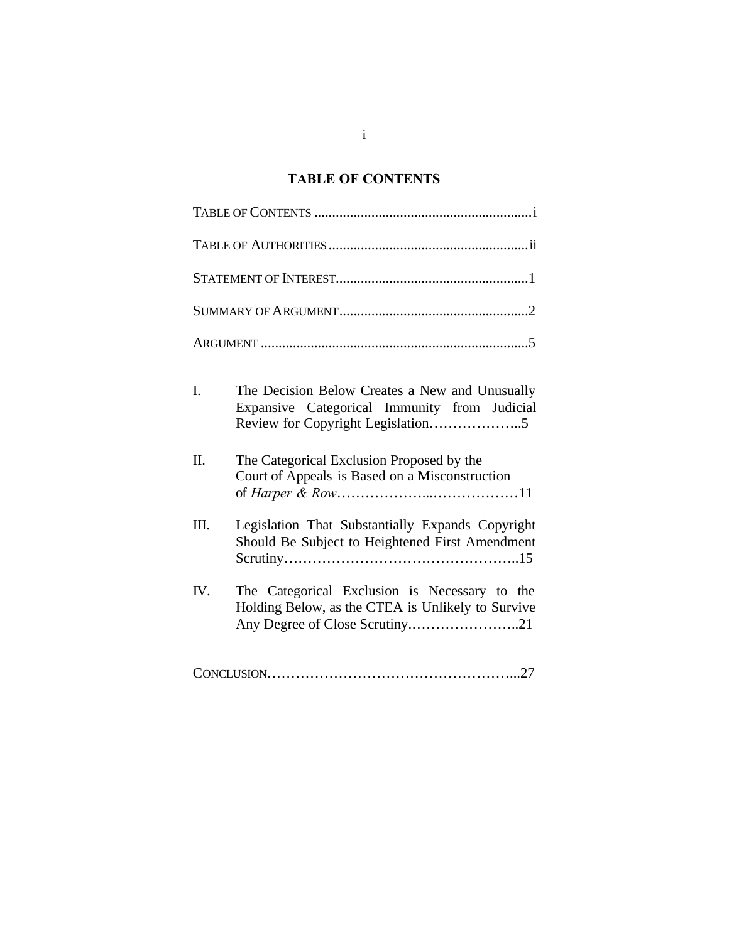## **TABLE OF CONTENTS**

| I.  | The Decision Below Creates a New and Unusually<br>Expansive Categorical Immunity from Judicial<br>Review for Copyright Legislation5 |
|-----|-------------------------------------------------------------------------------------------------------------------------------------|
| Π.  | The Categorical Exclusion Proposed by the<br>Court of Appeals is Based on a Misconstruction                                         |
| Ш.  | Legislation That Substantially Expands Copyright<br>Should Be Subject to Heightened First Amendment                                 |
| IV. | The Categorical Exclusion is Necessary to the<br>Holding Below, as the CTEA is Unlikely to Survive                                  |
|     |                                                                                                                                     |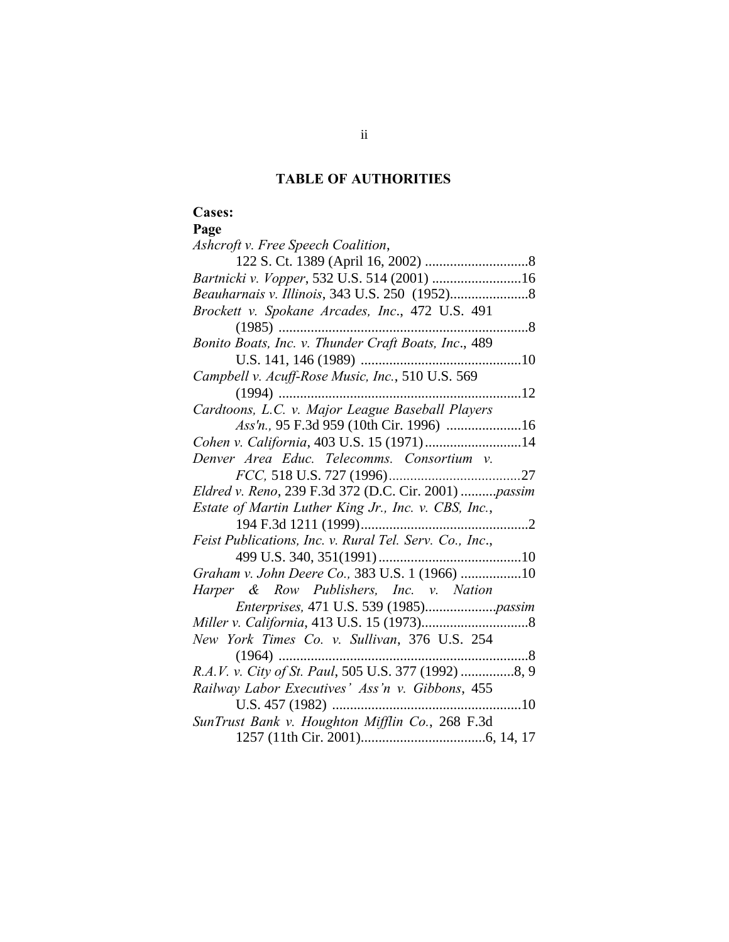## **TABLE OF AUTHORITIES**

# **Cases:**

## **Page**

| Ashcroft v. Free Speech Coalition,                      |
|---------------------------------------------------------|
|                                                         |
|                                                         |
|                                                         |
| Brockett v. Spokane Arcades, Inc., 472 U.S. 491         |
| . 8                                                     |
| Bonito Boats, Inc. v. Thunder Craft Boats, Inc., 489    |
|                                                         |
| Campbell v. Acuff-Rose Music, Inc., 510 U.S. 569        |
| $(1994)$<br>12                                          |
| Cardtoons, L.C. v. Major League Baseball Players        |
|                                                         |
| Cohen v. California, 403 U.S. 15 (1971) 14              |
| Denver Area Educ. Telecomms. Consortium v.              |
|                                                         |
| Eldred v. Reno, 239 F.3d 372 (D.C. Cir. 2001) passim    |
| Estate of Martin Luther King Jr., Inc. v. CBS, Inc.,    |
|                                                         |
| Feist Publications, Inc. v. Rural Tel. Serv. Co., Inc., |
|                                                         |
| Graham v. John Deere Co., 383 U.S. 1 (1966) 10          |
| Harper & Row Publishers, Inc. v. Nation                 |
|                                                         |
|                                                         |
| New York Times Co. v. Sullivan, 376 U.S. 254            |
| $(1964)$<br>. 8                                         |
| R.A.V. v. City of St. Paul, 505 U.S. 377 (1992) 8, 9    |
| Railway Labor Executives' Ass'n v. Gibbons, 455         |
| U.S. 457 (1982)<br>10                                   |
| SunTrust Bank v. Houghton Mifflin Co., 268 F.3d         |
|                                                         |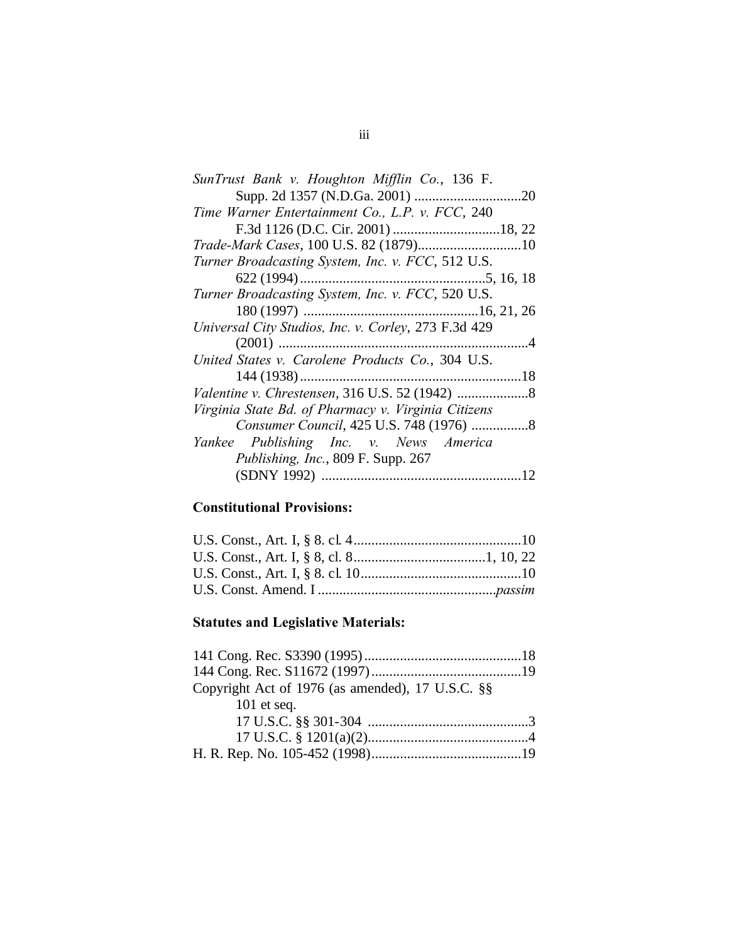| SunTrust Bank v. Houghton Mifflin Co., 136 F.        |
|------------------------------------------------------|
|                                                      |
| Time Warner Entertainment Co., L.P. v. FCC, 240      |
|                                                      |
|                                                      |
| Turner Broadcasting System, Inc. v. FCC, 512 U.S.    |
|                                                      |
| Turner Broadcasting System, Inc. v. FCC, 520 U.S.    |
|                                                      |
| Universal City Studios, Inc. v. Corley, 273 F.3d 429 |
|                                                      |
| United States v. Carolene Products Co., 304 U.S.     |
|                                                      |
|                                                      |
| Virginia State Bd. of Pharmacy v. Virginia Citizens  |
|                                                      |
| Yankee Publishing Inc. v. News America               |
| Publishing, Inc., 809 F. Supp. 267                   |
|                                                      |
|                                                      |

# **Constitutional Provisions:**

# **Statutes and Legislative Materials:**

| Copyright Act of 1976 (as amended), 17 U.S.C. §§ |  |
|--------------------------------------------------|--|
| 101 et seq.                                      |  |
|                                                  |  |
|                                                  |  |
|                                                  |  |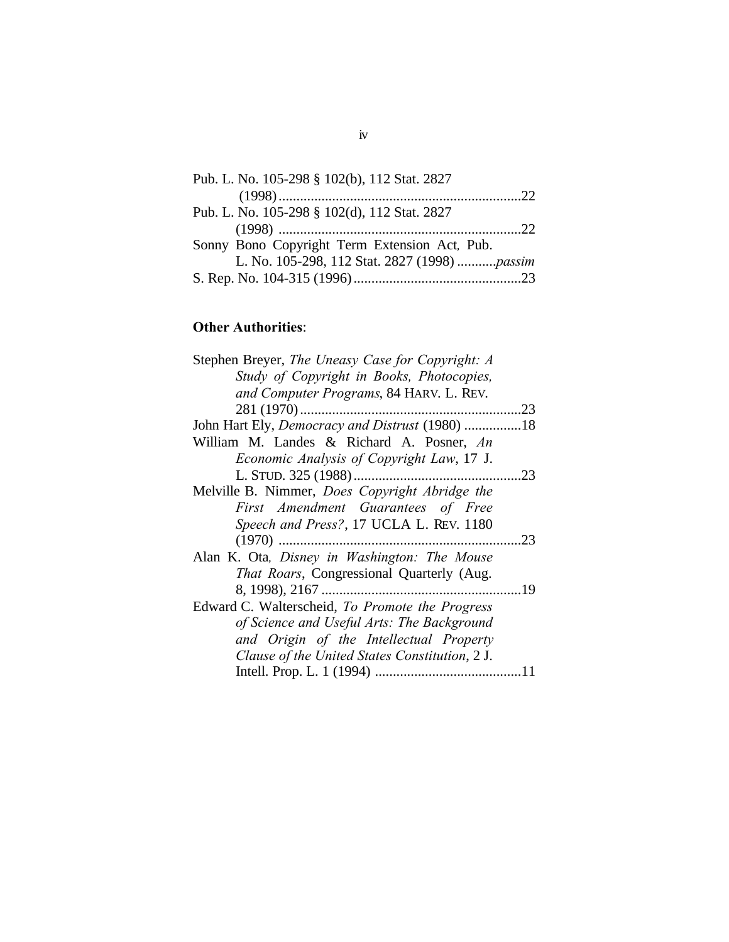| Pub. L. No. 105-298 § 102(b), 112 Stat. 2827  |
|-----------------------------------------------|
|                                               |
| Pub. L. No. 105-298 § 102(d), 112 Stat. 2827  |
|                                               |
| Sonny Bono Copyright Term Extension Act, Pub. |
| L. No. 105-298, 112 Stat. 2827 (1998) passim  |
|                                               |

# **Other Authorities**:

| Stephen Breyer, The Uneasy Case for Copyright: A |     |
|--------------------------------------------------|-----|
| Study of Copyright in Books, Photocopies,        |     |
| and Computer Programs, 84 HARV. L. REV.          |     |
|                                                  |     |
| John Hart Ely, Democracy and Distrust (1980)     | .18 |
| William M. Landes & Richard A. Posner, An        |     |
| Economic Analysis of Copyright Law, 17 J.        |     |
|                                                  |     |
| Melville B. Nimmer, Does Copyright Abridge the   |     |
| First Amendment Guarantees of Free               |     |
| Speech and Press?, 17 UCLA L. REV. 1180          |     |
|                                                  | .23 |
| Alan K. Ota, Disney in Washington: The Mouse     |     |
| That Roars, Congressional Quarterly (Aug.        |     |
|                                                  |     |
| Edward C. Walterscheid, To Promote the Progress  |     |
| of Science and Useful Arts: The Background       |     |
| and Origin of the Intellectual Property          |     |
| Clause of the United States Constitution, 2 J.   |     |
|                                                  |     |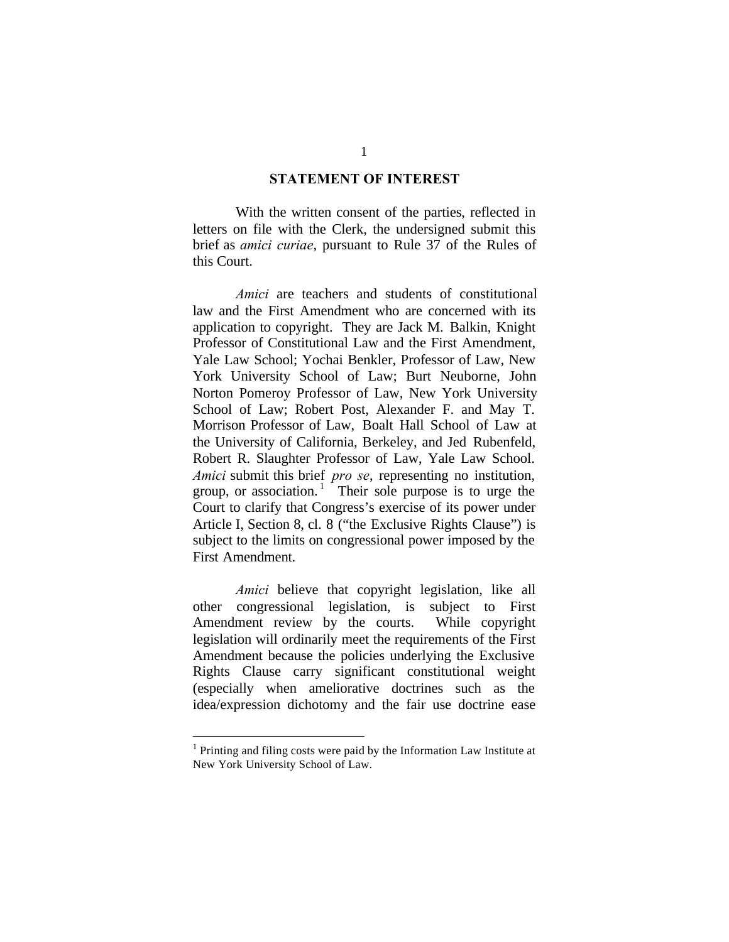#### **STATEMENT OF INTEREST**

With the written consent of the parties, reflected in letters on file with the Clerk, the undersigned submit this brief as *amici curiae*, pursuant to Rule 37 of the Rules of this Court.

*Amici* are teachers and students of constitutional law and the First Amendment who are concerned with its application to copyright. They are Jack M. Balkin, Knight Professor of Constitutional Law and the First Amendment, Yale Law School; Yochai Benkler, Professor of Law, New York University School of Law; Burt Neuborne, John Norton Pomeroy Professor of Law, New York University School of Law; Robert Post, Alexander F. and May T. Morrison Professor of Law, Boalt Hall School of Law at the University of California, Berkeley, and Jed Rubenfeld, Robert R. Slaughter Professor of Law, Yale Law School. *Amici* submit this brief *pro se*, representing no institution, group, or association.<sup>1</sup> Their sole purpose is to urge the Court to clarify that Congress's exercise of its power under Article I, Section 8, cl. 8 ("the Exclusive Rights Clause") is subject to the limits on congressional power imposed by the First Amendment.

*Amici* believe that copyright legislation, like all other congressional legislation, is subject to First Amendment review by the courts. While copyright legislation will ordinarily meet the requirements of the First Amendment because the policies underlying the Exclusive Rights Clause carry significant constitutional weight (especially when ameliorative doctrines such as the idea/expression dichotomy and the fair use doctrine ease

 $\overline{a}$ 

<sup>&</sup>lt;sup>1</sup> Printing and filing costs were paid by the Information Law Institute at New York University School of Law.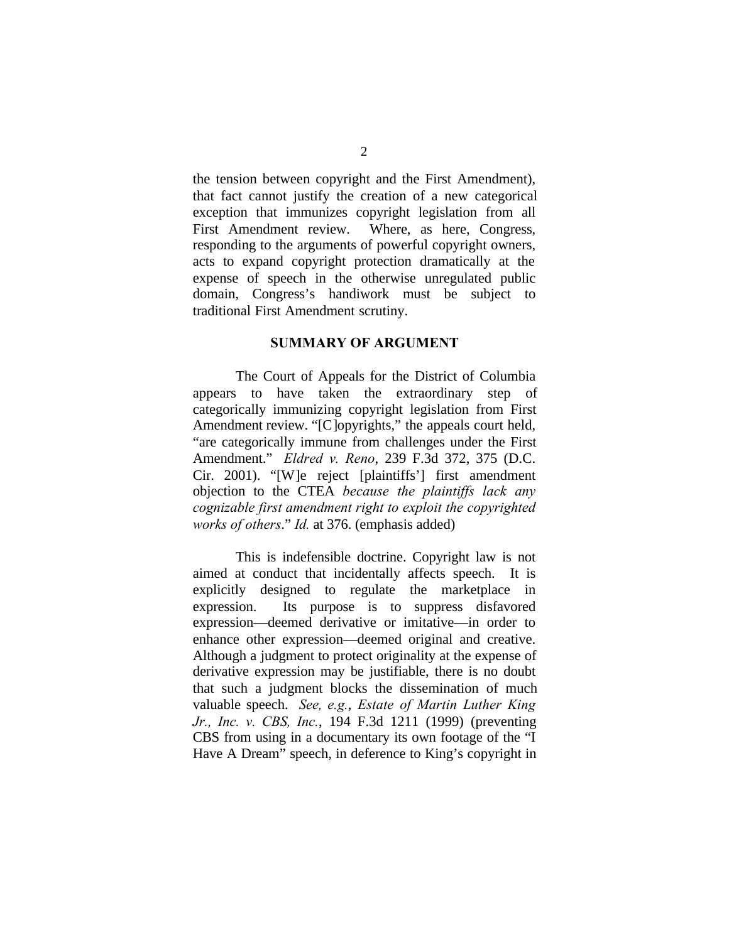the tension between copyright and the First Amendment), that fact cannot justify the creation of a new categorical exception that immunizes copyright legislation from all First Amendment review. Where, as here, Congress, responding to the arguments of powerful copyright owners, acts to expand copyright protection dramatically at the expense of speech in the otherwise unregulated public domain, Congress's handiwork must be subject to traditional First Amendment scrutiny.

#### **SUMMARY OF ARGUMENT**

The Court of Appeals for the District of Columbia appears to have taken the extraordinary step of categorically immunizing copyright legislation from First Amendment review. "[C]opyrights," the appeals court held, "are categorically immune from challenges under the First Amendment." *Eldred v. Reno*, 239 F.3d 372, 375 (D.C. Cir. 2001). "[W]e reject [plaintiffs'] first amendment objection to the CTEA *because the plaintiffs lack any cognizable first amendment right to exploit the copyrighted works of others*." *Id.* at 376. (emphasis added)

This is indefensible doctrine. Copyright law is not aimed at conduct that incidentally affects speech. It is explicitly designed to regulate the marketplace in expression. Its purpose is to suppress disfavored expression—deemed derivative or imitative—in order to enhance other expression—deemed original and creative. Although a judgment to protect originality at the expense of derivative expression may be justifiable, there is no doubt that such a judgment blocks the dissemination of much valuable speech. *See, e.g.*, *Estate of Martin Luther King Jr., Inc. v. CBS, Inc.*, 194 F.3d 1211 (1999) (preventing CBS from using in a documentary its own footage of the "I Have A Dream" speech, in deference to King's copyright in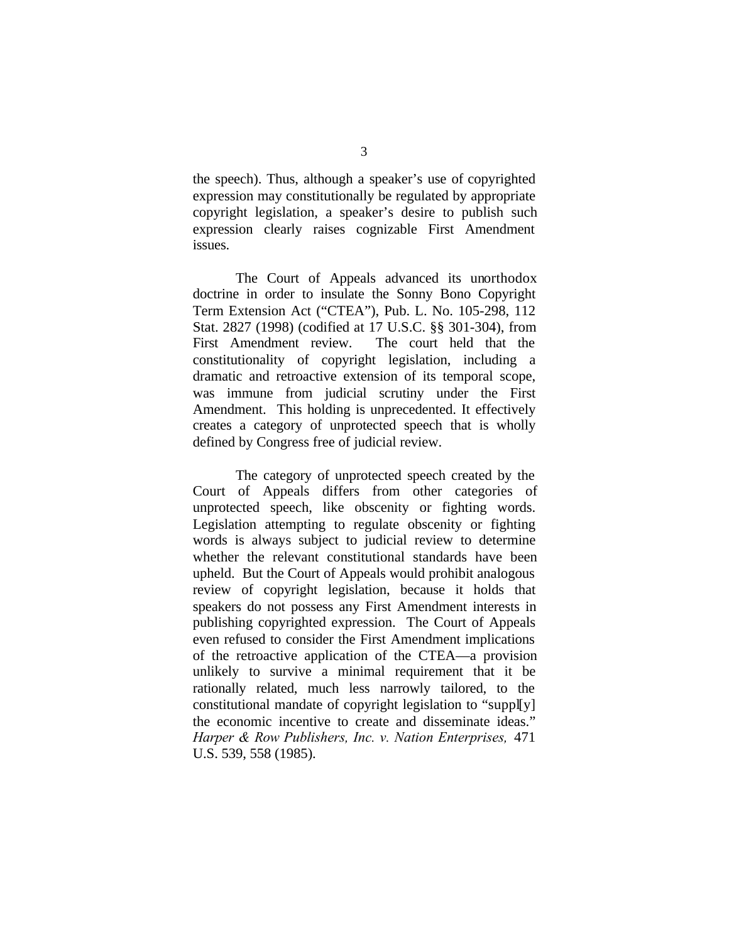the speech). Thus, although a speaker's use of copyrighted expression may constitutionally be regulated by appropriate copyright legislation, a speaker's desire to publish such expression clearly raises cognizable First Amendment issues.

The Court of Appeals advanced its unorthodox doctrine in order to insulate the Sonny Bono Copyright Term Extension Act ("CTEA"), Pub. L. No. 105-298, 112 Stat. 2827 (1998) (codified at 17 U.S.C. §§ 301-304), from First Amendment review. The court held that the constitutionality of copyright legislation, including a dramatic and retroactive extension of its temporal scope, was immune from judicial scrutiny under the First Amendment. This holding is unprecedented. It effectively creates a category of unprotected speech that is wholly defined by Congress free of judicial review.

The category of unprotected speech created by the Court of Appeals differs from other categories of unprotected speech, like obscenity or fighting words. Legislation attempting to regulate obscenity or fighting words is always subject to judicial review to determine whether the relevant constitutional standards have been upheld. But the Court of Appeals would prohibit analogous review of copyright legislation, because it holds that speakers do not possess any First Amendment interests in publishing copyrighted expression. The Court of Appeals even refused to consider the First Amendment implications of the retroactive application of the CTEA—a provision unlikely to survive a minimal requirement that it be rationally related, much less narrowly tailored, to the constitutional mandate of copyright legislation to "suppl[y] the economic incentive to create and disseminate ideas." *Harper & Row Publishers, Inc. v. Nation Enterprises,* 471 U.S. 539, 558 (1985).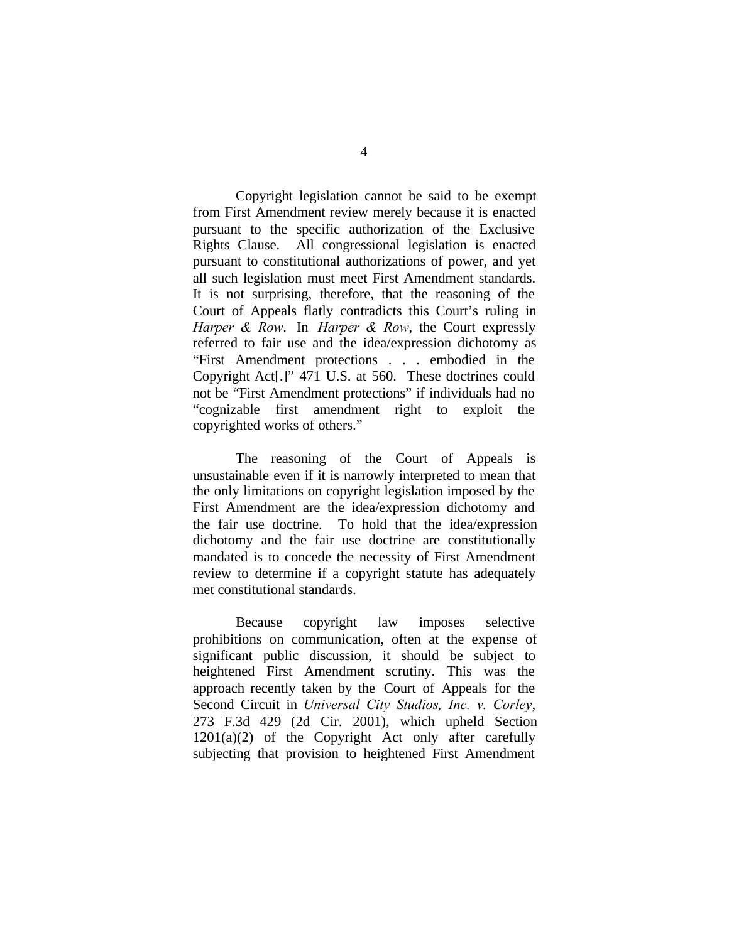Copyright legislation cannot be said to be exempt from First Amendment review merely because it is enacted pursuant to the specific authorization of the Exclusive Rights Clause. All congressional legislation is enacted pursuant to constitutional authorizations of power, and yet all such legislation must meet First Amendment standards. It is not surprising, therefore, that the reasoning of the Court of Appeals flatly contradicts this Court's ruling in *Harper & Row*. In *Harper & Row*, the Court expressly referred to fair use and the idea/expression dichotomy as "First Amendment protections . . . embodied in the Copyright Act[.]" 471 U.S. at 560. These doctrines could not be "First Amendment protections" if individuals had no "cognizable first amendment right to exploit the copyrighted works of others."

The reasoning of the Court of Appeals is unsustainable even if it is narrowly interpreted to mean that the only limitations on copyright legislation imposed by the First Amendment are the idea/expression dichotomy and the fair use doctrine. To hold that the idea/expression dichotomy and the fair use doctrine are constitutionally mandated is to concede the necessity of First Amendment review to determine if a copyright statute has adequately met constitutional standards.

Because copyright law imposes selective prohibitions on communication, often at the expense of significant public discussion, it should be subject to heightened First Amendment scrutiny. This was the approach recently taken by the Court of Appeals for the Second Circuit in *Universal City Studios, Inc. v. Corley*, 273 F.3d 429 (2d Cir. 2001), which upheld Section  $1201(a)(2)$  of the Copyright Act only after carefully subjecting that provision to heightened First Amendment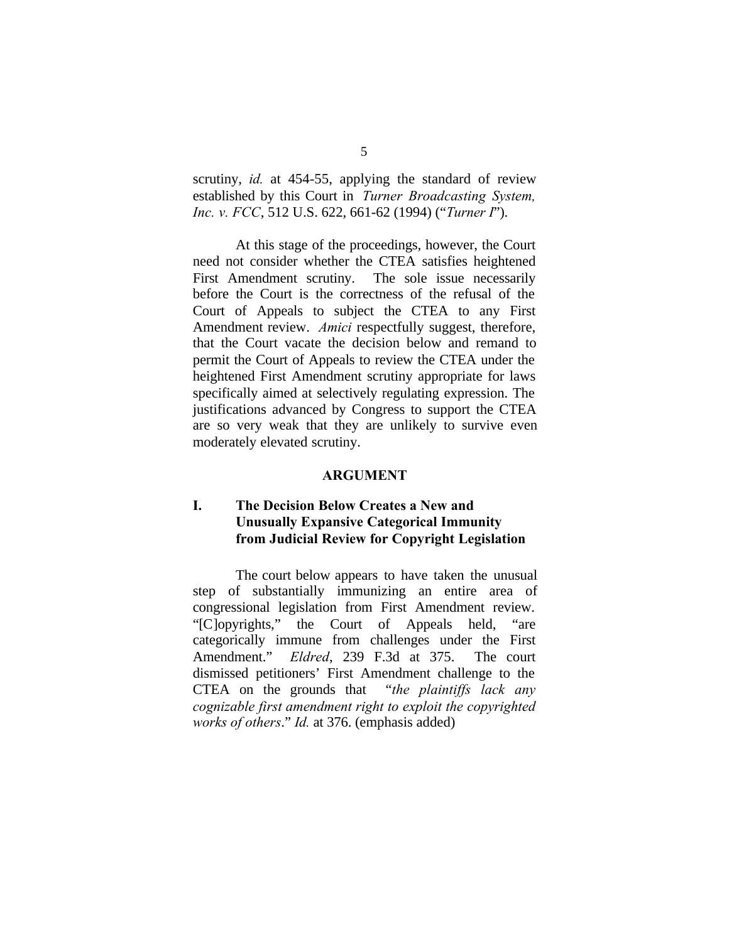scrutiny, *id.* at 454-55, applying the standard of review established by this Court in *Turner Broadcasting System, Inc. v. FCC*, 512 U.S. 622, 661-62 (1994) ("*Turner I*").

At this stage of the proceedings, however, the Court need not consider whether the CTEA satisfies heightened First Amendment scrutiny. The sole issue necessarily before the Court is the correctness of the refusal of the Court of Appeals to subject the CTEA to any First Amendment review. *Amici* respectfully suggest, therefore, that the Court vacate the decision below and remand to permit the Court of Appeals to review the CTEA under the heightened First Amendment scrutiny appropriate for laws specifically aimed at selectively regulating expression. The justifications advanced by Congress to support the CTEA are so very weak that they are unlikely to survive even moderately elevated scrutiny.

#### **ARGUMENT**

### **I. The Decision Below Creates a New and Unusually Expansive Categorical Immunity from Judicial Review for Copyright Legislation**

The court below appears to have taken the unusual step of substantially immunizing an entire area of congressional legislation from First Amendment review. "[C]opyrights," the Court of Appeals held, "are categorically immune from challenges under the First Amendment." *Eldred*, 239 F.3d at 375. The court dismissed petitioners' First Amendment challenge to the CTEA on the grounds that "*the plaintiffs lack any cognizable first amendment right to exploit the copyrighted works of others*." *Id.* at 376. (emphasis added)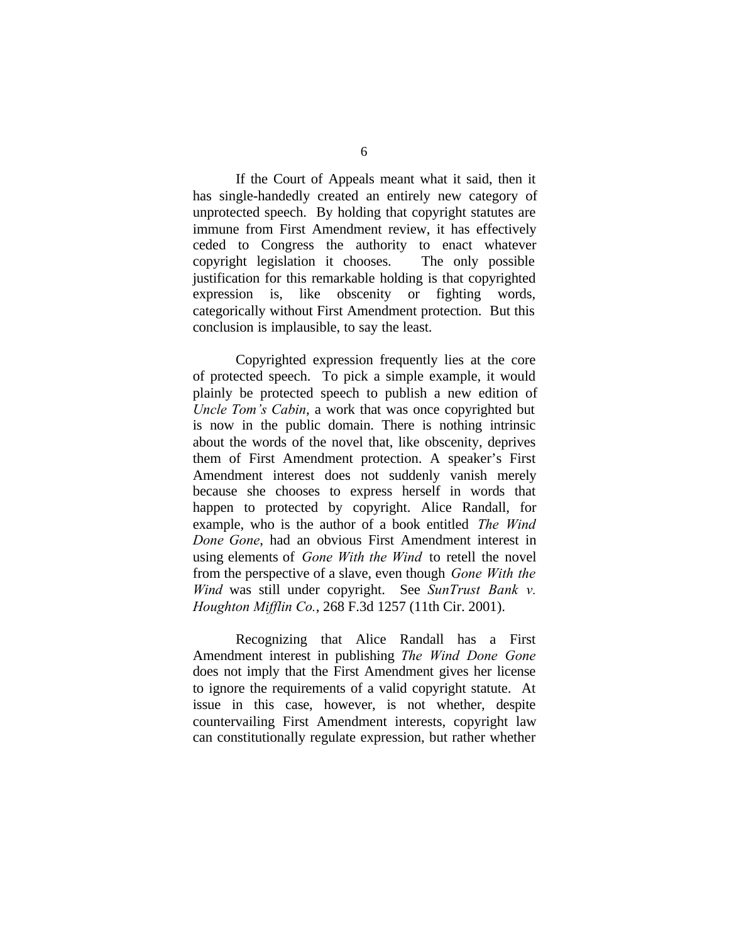If the Court of Appeals meant what it said, then it has single-handedly created an entirely new category of unprotected speech. By holding that copyright statutes are immune from First Amendment review, it has effectively ceded to Congress the authority to enact whatever copyright legislation it chooses. The only possible justification for this remarkable holding is that copyrighted expression is, like obscenity or fighting words, categorically without First Amendment protection. But this conclusion is implausible, to say the least.

Copyrighted expression frequently lies at the core of protected speech. To pick a simple example, it would plainly be protected speech to publish a new edition of *Uncle Tom's Cabin*, a work that was once copyrighted but is now in the public domain. There is nothing intrinsic about the words of the novel that, like obscenity, deprives them of First Amendment protection. A speaker's First Amendment interest does not suddenly vanish merely because she chooses to express herself in words that happen to protected by copyright. Alice Randall, for example, who is the author of a book entitled *The Wind Done Gone*, had an obvious First Amendment interest in using elements of *Gone With the Wind* to retell the novel from the perspective of a slave, even though *Gone With the Wind* was still under copyright. See *SunTrust Bank v. Houghton Mifflin Co.*, 268 F.3d 1257 (11th Cir. 2001).

Recognizing that Alice Randall has a First Amendment interest in publishing *The Wind Done Gone* does not imply that the First Amendment gives her license to ignore the requirements of a valid copyright statute. At issue in this case, however, is not whether, despite countervailing First Amendment interests, copyright law can constitutionally regulate expression, but rather whether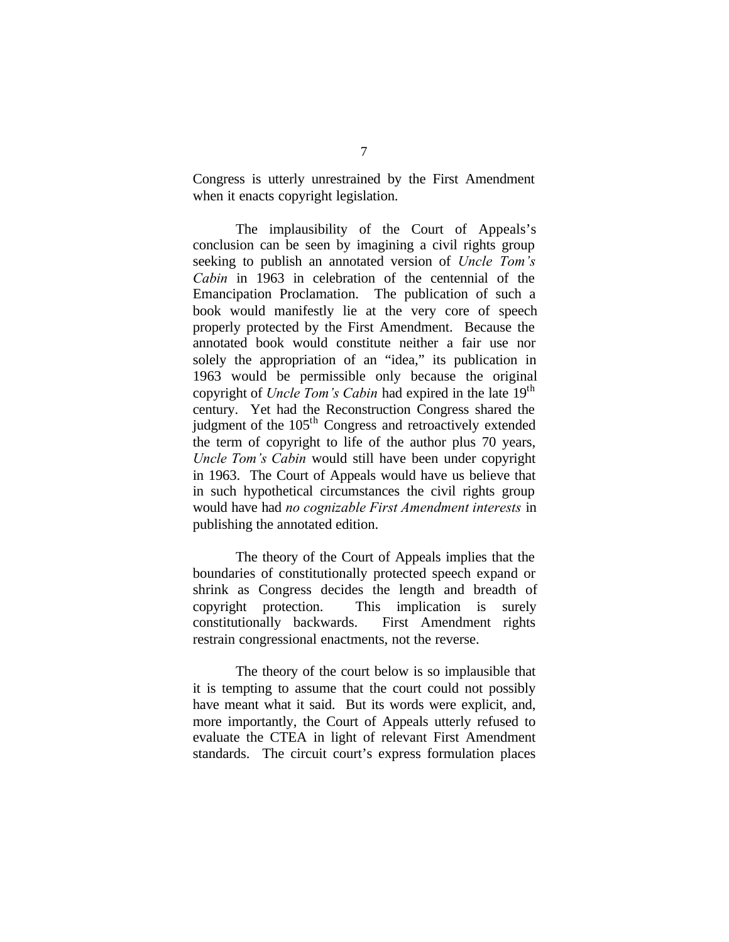Congress is utterly unrestrained by the First Amendment when it enacts copyright legislation.

The implausibility of the Court of Appeals's conclusion can be seen by imagining a civil rights group seeking to publish an annotated version of *Uncle Tom's Cabin* in 1963 in celebration of the centennial of the Emancipation Proclamation. The publication of such a book would manifestly lie at the very core of speech properly protected by the First Amendment. Because the annotated book would constitute neither a fair use nor solely the appropriation of an "idea," its publication in 1963 would be permissible only because the original copyright of *Uncle Tom's Cabin* had expired in the late 19<sup>th</sup> century. Yet had the Reconstruction Congress shared the judgment of the 105<sup>th</sup> Congress and retroactively extended the term of copyright to life of the author plus 70 years, *Uncle Tom's Cabin* would still have been under copyright in 1963. The Court of Appeals would have us believe that in such hypothetical circumstances the civil rights group would have had *no cognizable First Amendment interests* in publishing the annotated edition.

The theory of the Court of Appeals implies that the boundaries of constitutionally protected speech expand or shrink as Congress decides the length and breadth of copyright protection. This implication is surely constitutionally backwards. First Amendment rights restrain congressional enactments, not the reverse.

The theory of the court below is so implausible that it is tempting to assume that the court could not possibly have meant what it said. But its words were explicit, and, more importantly, the Court of Appeals utterly refused to evaluate the CTEA in light of relevant First Amendment standards. The circuit court's express formulation places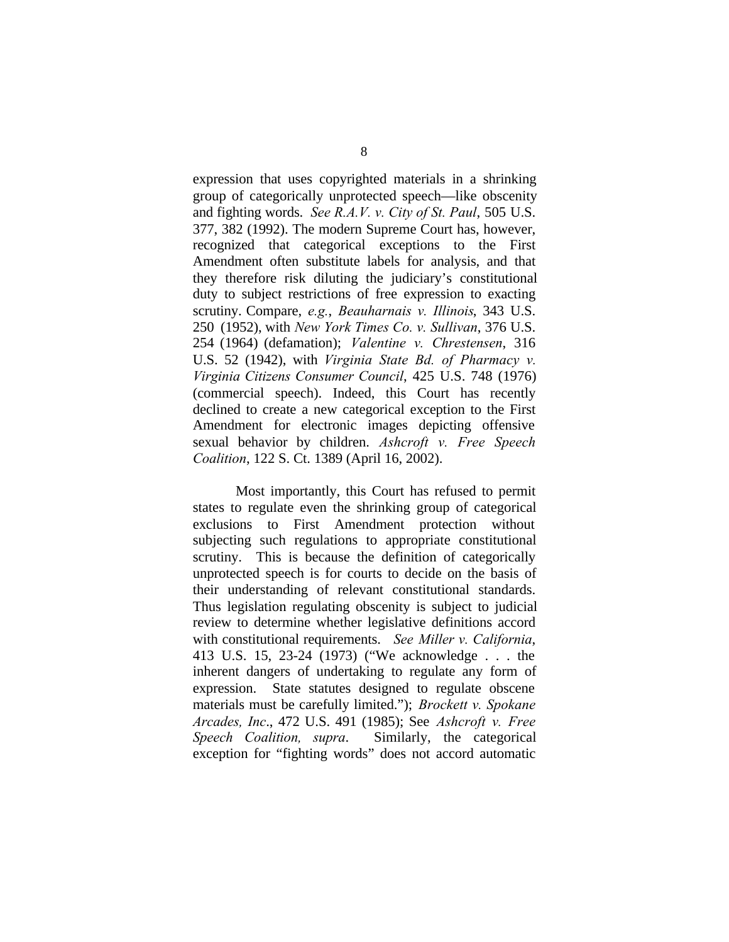expression that uses copyrighted materials in a shrinking group of categorically unprotected speech—like obscenity and fighting words. *See R.A.V. v. City of St. Paul*, 505 U.S. 377, 382 (1992). The modern Supreme Court has, however, recognized that categorical exceptions to the First Amendment often substitute labels for analysis, and that they therefore risk diluting the judiciary's constitutional duty to subject restrictions of free expression to exacting scrutiny. Compare, *e.g.*, *Beauharnais v. Illinois*, 343 U.S. 250 (1952), with *New York Times Co. v. Sullivan*, 376 U.S. 254 (1964) (defamation); *Valentine v. Chrestensen*, 316 U.S. 52 (1942), with *Virginia State Bd. of Pharmacy v. Virginia Citizens Consumer Council*, 425 U.S. 748 (1976) (commercial speech). Indeed, this Court has recently declined to create a new categorical exception to the First Amendment for electronic images depicting offensive sexual behavior by children. *Ashcroft v. Free Speech Coalition*, 122 S. Ct. 1389 (April 16, 2002).

Most importantly, this Court has refused to permit states to regulate even the shrinking group of categorical exclusions to First Amendment protection without subjecting such regulations to appropriate constitutional scrutiny. This is because the definition of categorically unprotected speech is for courts to decide on the basis of their understanding of relevant constitutional standards. Thus legislation regulating obscenity is subject to judicial review to determine whether legislative definitions accord with constitutional requirements. *See Miller v. California*, 413 U.S. 15, 23-24 (1973) ("We acknowledge . . . the inherent dangers of undertaking to regulate any form of expression. State statutes designed to regulate obscene materials must be carefully limited."); *Brockett v. Spokane Arcades, Inc*., 472 U.S. 491 (1985); See *Ashcroft v. Free Speech Coalition, supra*. Similarly, the categorical exception for "fighting words" does not accord automatic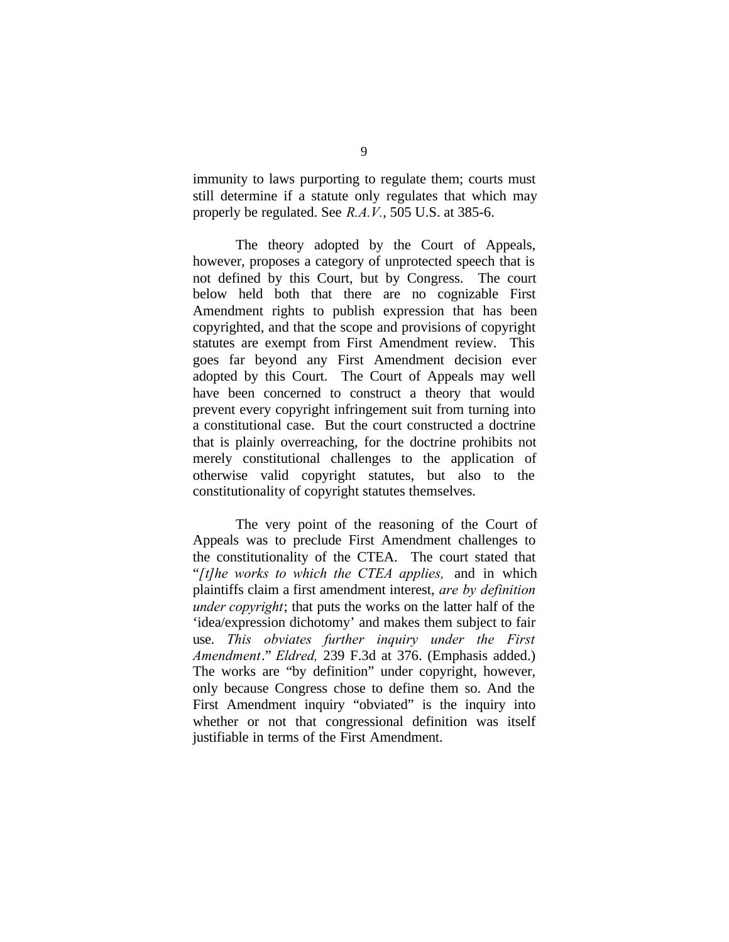immunity to laws purporting to regulate them; courts must still determine if a statute only regulates that which may properly be regulated. See *R.A.V.*, 505 U.S. at 385-6.

The theory adopted by the Court of Appeals, however, proposes a category of unprotected speech that is not defined by this Court, but by Congress. The court below held both that there are no cognizable First Amendment rights to publish expression that has been copyrighted, and that the scope and provisions of copyright statutes are exempt from First Amendment review. This goes far beyond any First Amendment decision ever adopted by this Court. The Court of Appeals may well have been concerned to construct a theory that would prevent every copyright infringement suit from turning into a constitutional case. But the court constructed a doctrine that is plainly overreaching, for the doctrine prohibits not merely constitutional challenges to the application of otherwise valid copyright statutes, but also to the constitutionality of copyright statutes themselves.

The very point of the reasoning of the Court of Appeals was to preclude First Amendment challenges to the constitutionality of the CTEA. The court stated that "*[t]he works to which the CTEA applies,* and in which plaintiffs claim a first amendment interest, *are by definition under copyright*; that puts the works on the latter half of the 'idea/expression dichotomy' and makes them subject to fair use. *This obviates further inquiry under the First Amendment*." *Eldred,* 239 F.3d at 376. (Emphasis added.) The works are "by definition" under copyright, however, only because Congress chose to define them so. And the First Amendment inquiry "obviated" is the inquiry into whether or not that congressional definition was itself justifiable in terms of the First Amendment.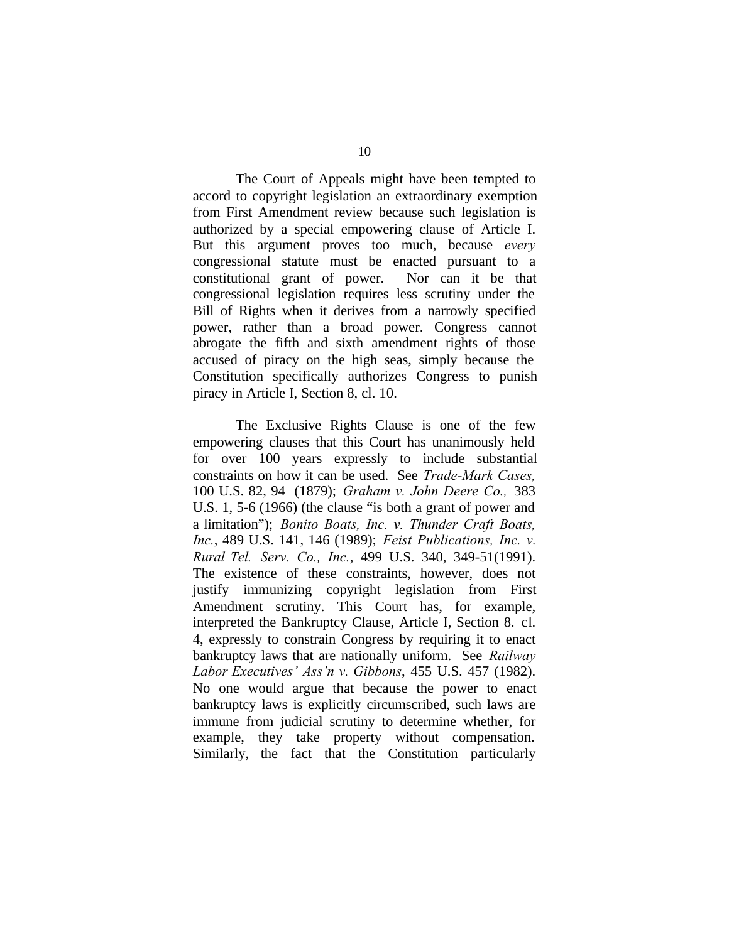The Court of Appeals might have been tempted to accord to copyright legislation an extraordinary exemption from First Amendment review because such legislation is authorized by a special empowering clause of Article I. But this argument proves too much, because *every* congressional statute must be enacted pursuant to a constitutional grant of power. Nor can it be that congressional legislation requires less scrutiny under the Bill of Rights when it derives from a narrowly specified power, rather than a broad power. Congress cannot abrogate the fifth and sixth amendment rights of those accused of piracy on the high seas, simply because the Constitution specifically authorizes Congress to punish piracy in Article I, Section 8, cl. 10.

The Exclusive Rights Clause is one of the few empowering clauses that this Court has unanimously held for over 100 years expressly to include substantial constraints on how it can be used. See *Trade-Mark Cases,* 100 U.S. 82, 94 (1879); *Graham v. John Deere Co.,* 383 U.S. 1, 5-6 (1966) (the clause "is both a grant of power and a limitation"); *Bonito Boats, Inc. v. Thunder Craft Boats, Inc.*, 489 U.S. 141, 146 (1989); *Feist Publications, Inc. v. Rural Tel. Serv. Co., Inc.*, 499 U.S. 340, 349-51(1991). The existence of these constraints, however, does not justify immunizing copyright legislation from First Amendment scrutiny. This Court has, for example, interpreted the Bankruptcy Clause, Article I, Section 8. cl. 4, expressly to constrain Congress by requiring it to enact bankruptcy laws that are nationally uniform. See *Railway Labor Executives' Ass'n v. Gibbons*, 455 U.S. 457 (1982). No one would argue that because the power to enact bankruptcy laws is explicitly circumscribed, such laws are immune from judicial scrutiny to determine whether, for example, they take property without compensation. Similarly, the fact that the Constitution particularly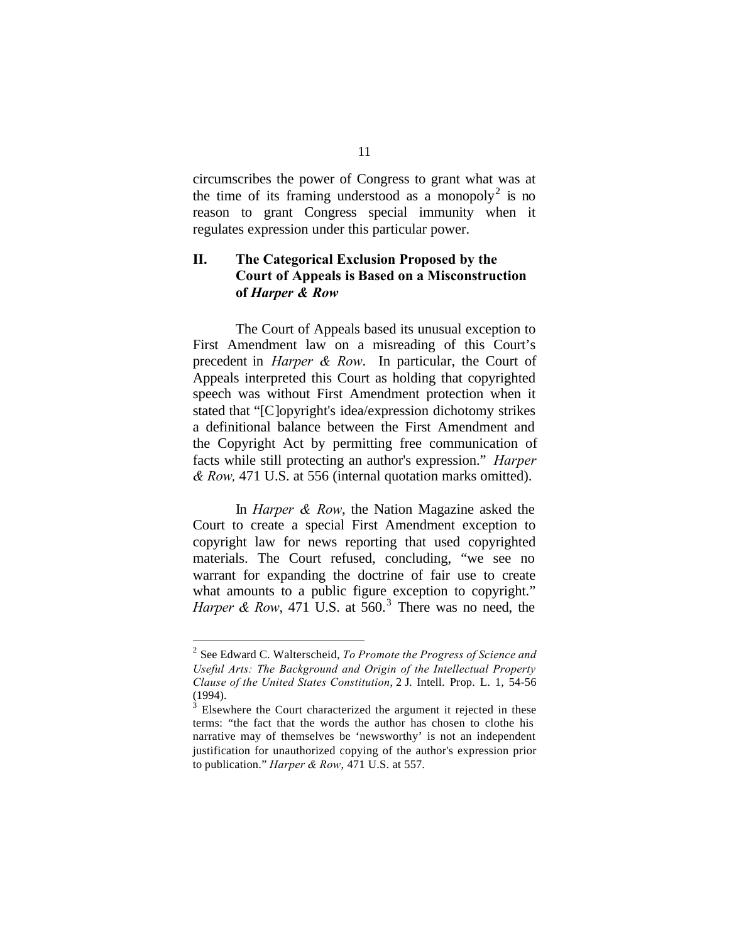circumscribes the power of Congress to grant what was at the time of its framing understood as a monopoly<sup>2</sup> is no reason to grant Congress special immunity when it regulates expression under this particular power.

## **II. The Categorical Exclusion Proposed by the Court of Appeals is Based on a Misconstruction of** *Harper & Row*

The Court of Appeals based its unusual exception to First Amendment law on a misreading of this Court's precedent in *Harper & Row*.In particular, the Court of Appeals interpreted this Court as holding that copyrighted speech was without First Amendment protection when it stated that "[C]opyright's idea/expression dichotomy strikes a definitional balance between the First Amendment and the Copyright Act by permitting free communication of facts while still protecting an author's expression." *Harper & Row,* 471 U.S. at 556 (internal quotation marks omitted).

In *Harper & Row*, the Nation Magazine asked the Court to create a special First Amendment exception to copyright law for news reporting that used copyrighted materials. The Court refused, concluding, "we see no warrant for expanding the doctrine of fair use to create what amounts to a public figure exception to copyright." *Harper & Row*, 471 U.S. at  $560<sup>3</sup>$  There was no need, the

 $\overline{a}$ 

<sup>2</sup> See Edward C. Walterscheid, *To Promote the Progress of Science and Useful Arts: The Background and Origin of the Intellectual Property Clause of the United States Constitution*, 2 J. Intell. Prop. L. 1, 54-56 (1994).

 $3$  Elsewhere the Court characterized the argument it rejected in these terms: "the fact that the words the author has chosen to clothe his narrative may of themselves be 'newsworthy' is not an independent justification for unauthorized copying of the author's expression prior to publication." *Harper & Row*, 471 U.S. at 557.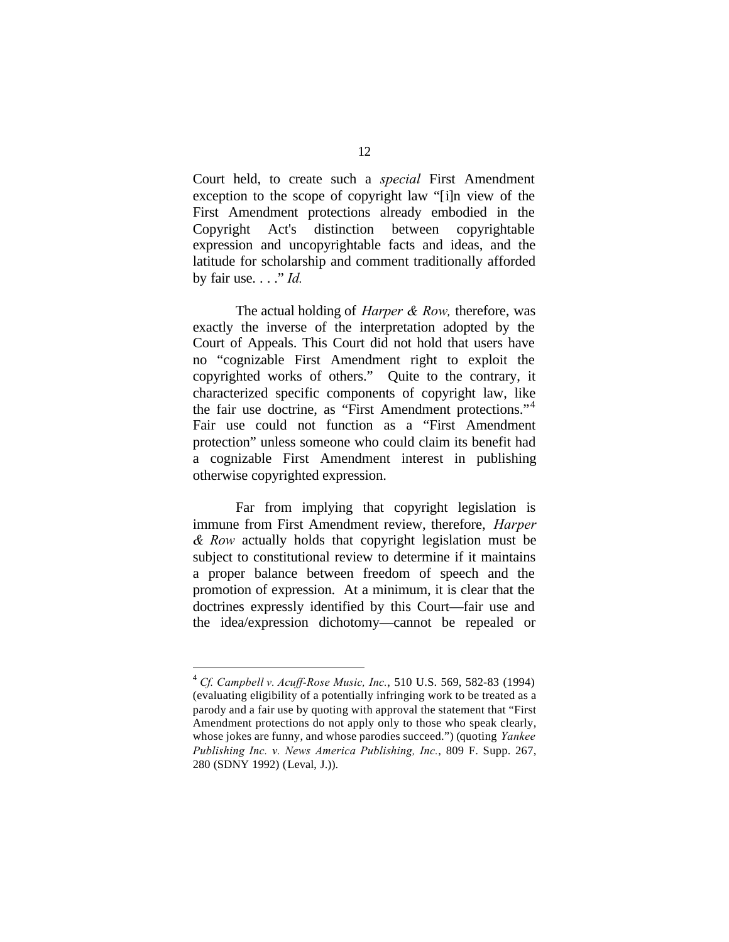Court held, to create such a *special* First Amendment exception to the scope of copyright law "[i]n view of the First Amendment protections already embodied in the Copyright Act's distinction between copyrightable expression and uncopyrightable facts and ideas, and the latitude for scholarship and comment traditionally afforded by fair use. . . ." *Id.*

The actual holding of *Harper & Row,* therefore, was exactly the inverse of the interpretation adopted by the Court of Appeals. This Court did not hold that users have no "cognizable First Amendment right to exploit the copyrighted works of others." Quite to the contrary, it characterized specific components of copyright law, like the fair use doctrine, as "First Amendment protections."<sup>4</sup> Fair use could not function as a "First Amendment protection" unless someone who could claim its benefit had a cognizable First Amendment interest in publishing otherwise copyrighted expression.

Far from implying that copyright legislation is immune from First Amendment review, therefore, *Harper & Row* actually holds that copyright legislation must be subject to constitutional review to determine if it maintains a proper balance between freedom of speech and the promotion of expression. At a minimum, it is clear that the doctrines expressly identified by this Court—fair use and the idea/expression dichotomy—cannot be repealed or

 $\overline{a}$ 

<sup>4</sup> *Cf. Campbell v. Acuff-Rose Music, Inc.*, 510 U.S. 569, 582-83 (1994) (evaluating eligibility of a potentially infringing work to be treated as a parody and a fair use by quoting with approval the statement that "First Amendment protections do not apply only to those who speak clearly, whose jokes are funny, and whose parodies succeed.") (quoting *Yankee Publishing Inc. v. News America Publishing, Inc.*, 809 F. Supp. 267, 280 (SDNY 1992) (Leval, J.)).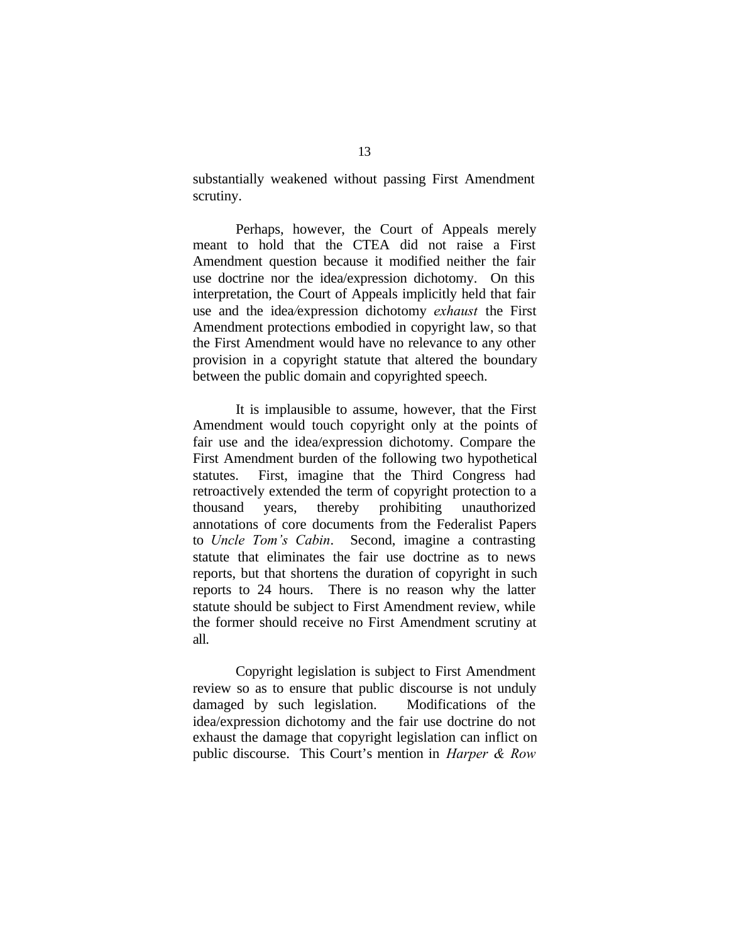substantially weakened without passing First Amendment scrutiny.

Perhaps, however, the Court of Appeals merely meant to hold that the CTEA did not raise a First Amendment question because it modified neither the fair use doctrine nor the idea/expression dichotomy. On this interpretation, the Court of Appeals implicitly held that fair use and the idea*/*expression dichotomy *exhaust* the First Amendment protections embodied in copyright law, so that the First Amendment would have no relevance to any other provision in a copyright statute that altered the boundary between the public domain and copyrighted speech.

It is implausible to assume, however, that the First Amendment would touch copyright only at the points of fair use and the idea/expression dichotomy. Compare the First Amendment burden of the following two hypothetical statutes. First, imagine that the Third Congress had retroactively extended the term of copyright protection to a thousand years, thereby prohibiting unauthorized annotations of core documents from the Federalist Papers to *Uncle Tom's Cabin*. Second, imagine a contrasting statute that eliminates the fair use doctrine as to news reports, but that shortens the duration of copyright in such reports to 24 hours. There is no reason why the latter statute should be subject to First Amendment review, while the former should receive no First Amendment scrutiny at all.

Copyright legislation is subject to First Amendment review so as to ensure that public discourse is not unduly damaged by such legislation. Modifications of the idea/expression dichotomy and the fair use doctrine do not exhaust the damage that copyright legislation can inflict on public discourse. This Court's mention in *Harper & Row*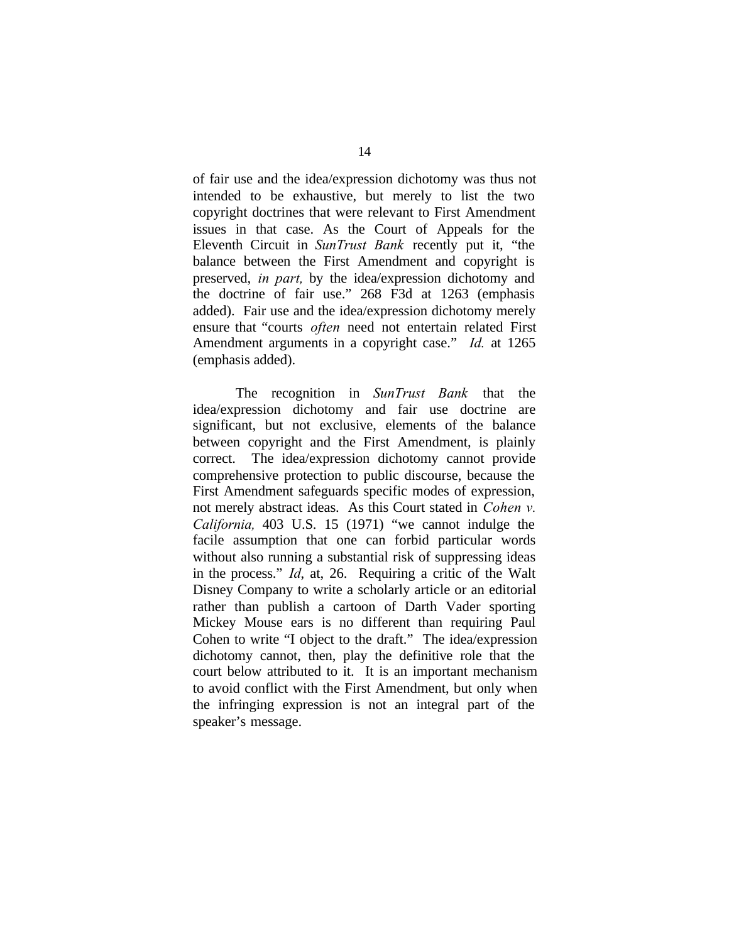of fair use and the idea/expression dichotomy was thus not intended to be exhaustive, but merely to list the two copyright doctrines that were relevant to First Amendment issues in that case. As the Court of Appeals for the Eleventh Circuit in *SunTrust Bank* recently put it, "the balance between the First Amendment and copyright is preserved, *in part,* by the idea/expression dichotomy and the doctrine of fair use." 268 F3d at 1263 (emphasis added). Fair use and the idea/expression dichotomy merely ensure that "courts *often* need not entertain related First Amendment arguments in a copyright case." *Id.* at 1265 (emphasis added).

The recognition in *SunTrust Bank* that the idea/expression dichotomy and fair use doctrine are significant, but not exclusive, elements of the balance between copyright and the First Amendment, is plainly correct. The idea/expression dichotomy cannot provide comprehensive protection to public discourse, because the First Amendment safeguards specific modes of expression, not merely abstract ideas. As this Court stated in *Cohen v. California,* 403 U.S. 15 (1971) "we cannot indulge the facile assumption that one can forbid particular words without also running a substantial risk of suppressing ideas in the process." *Id*, at, 26. Requiring a critic of the Walt Disney Company to write a scholarly article or an editorial rather than publish a cartoon of Darth Vader sporting Mickey Mouse ears is no different than requiring Paul Cohen to write "I object to the draft." The idea/expression dichotomy cannot, then, play the definitive role that the court below attributed to it. It is an important mechanism to avoid conflict with the First Amendment, but only when the infringing expression is not an integral part of the speaker's message.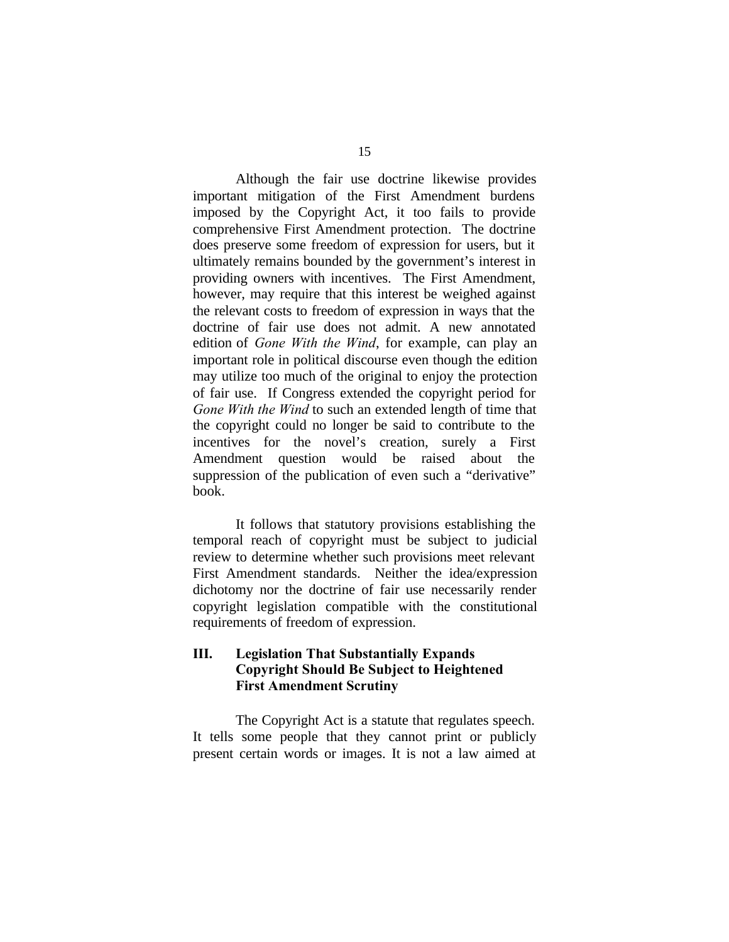Although the fair use doctrine likewise provides important mitigation of the First Amendment burdens imposed by the Copyright Act, it too fails to provide comprehensive First Amendment protection. The doctrine does preserve some freedom of expression for users, but it ultimately remains bounded by the government's interest in providing owners with incentives. The First Amendment, however, may require that this interest be weighed against the relevant costs to freedom of expression in ways that the doctrine of fair use does not admit. A new annotated edition of *Gone With the Wind*, for example, can play an important role in political discourse even though the edition may utilize too much of the original to enjoy the protection of fair use. If Congress extended the copyright period for *Gone With the Wind* to such an extended length of time that the copyright could no longer be said to contribute to the incentives for the novel's creation, surely a First Amendment question would be raised about the suppression of the publication of even such a "derivative" book.

It follows that statutory provisions establishing the temporal reach of copyright must be subject to judicial review to determine whether such provisions meet relevant First Amendment standards. Neither the idea/expression dichotomy nor the doctrine of fair use necessarily render copyright legislation compatible with the constitutional requirements of freedom of expression.

### **III. Legislation That Substantially Expands Copyright Should Be Subject to Heightened First Amendment Scrutiny**

The Copyright Act is a statute that regulates speech. It tells some people that they cannot print or publicly present certain words or images. It is not a law aimed at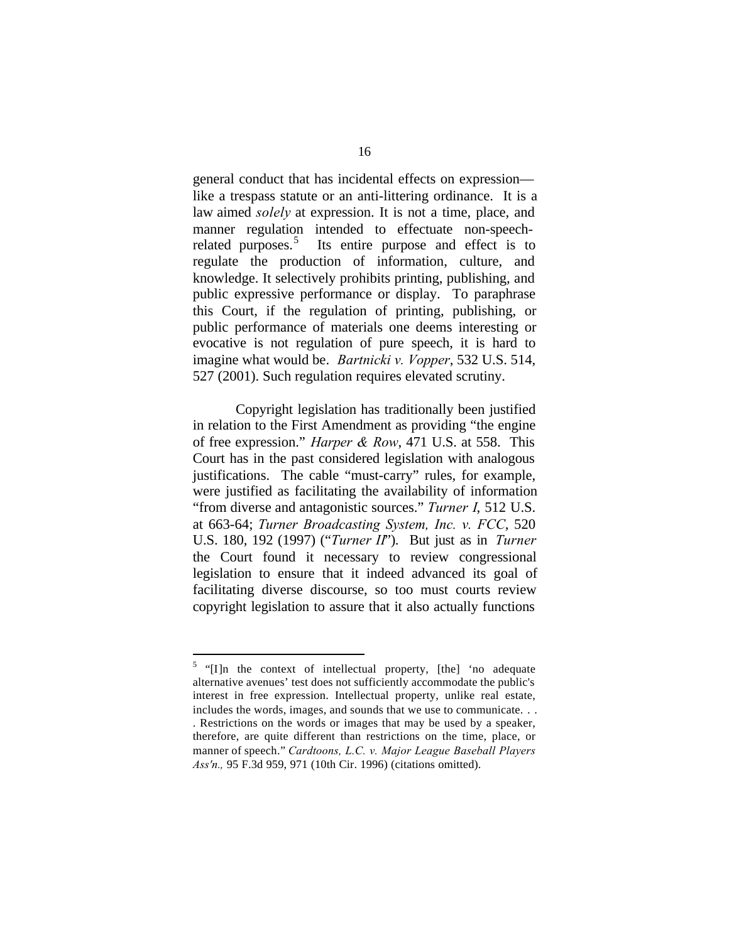general conduct that has incidental effects on expression like a trespass statute or an anti-littering ordinance. It is a law aimed *solely* at expression. It is not a time, place, and manner regulation intended to effectuate non-speechrelated purposes.<sup>5</sup> Its entire purpose and effect is to regulate the production of information, culture, and knowledge. It selectively prohibits printing, publishing, and public expressive performance or display. To paraphrase this Court, if the regulation of printing, publishing, or public performance of materials one deems interesting or evocative is not regulation of pure speech, it is hard to imagine what would be. *Bartnicki v. Vopper*, 532 U.S. 514, 527 (2001). Such regulation requires elevated scrutiny.

Copyright legislation has traditionally been justified in relation to the First Amendment as providing "the engine of free expression." *Harper & Row*, 471 U.S. at 558. This Court has in the past considered legislation with analogous justifications. The cable "must-carry" rules, for example, were justified as facilitating the availability of information "from diverse and antagonistic sources." *Turner I*, 512 U.S. at 663-64; *Turner Broadcasting System, Inc. v. FCC*, 520 U.S. 180, 192 (1997) ("*Turner II*"). But just as in *Turner* the Court found it necessary to review congressional legislation to ensure that it indeed advanced its goal of facilitating diverse discourse, so too must courts review copyright legislation to assure that it also actually functions

 $\overline{a}$ 

 $5$  "[I]n the context of intellectual property, [the] 'no adequate alternative avenues' test does not sufficiently accommodate the public's interest in free expression. Intellectual property, unlike real estate, includes the words, images, and sounds that we use to communicate. . . . Restrictions on the words or images that may be used by a speaker, therefore, are quite different than restrictions on the time, place, or manner of speech." *Cardtoons, L.C. v. Major League Baseball Players Ass'n.,* 95 F.3d 959, 971 (10th Cir. 1996) (citations omitted).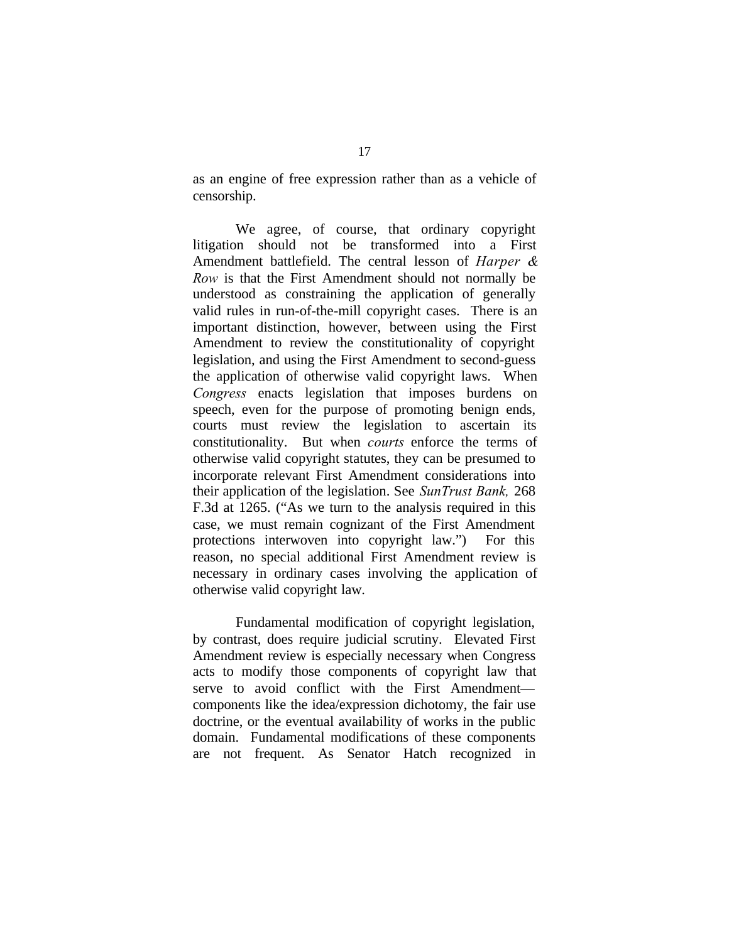as an engine of free expression rather than as a vehicle of censorship.

We agree, of course, that ordinary copyright litigation should not be transformed into a First Amendment battlefield. The central lesson of *Harper & Row* is that the First Amendment should not normally be understood as constraining the application of generally valid rules in run-of-the-mill copyright cases. There is an important distinction, however, between using the First Amendment to review the constitutionality of copyright legislation, and using the First Amendment to second-guess the application of otherwise valid copyright laws. When *Congress* enacts legislation that imposes burdens on speech, even for the purpose of promoting benign ends, courts must review the legislation to ascertain its constitutionality. But when *courts* enforce the terms of otherwise valid copyright statutes, they can be presumed to incorporate relevant First Amendment considerations into their application of the legislation. See *SunTrust Bank,* 268 F.3d at 1265. ("As we turn to the analysis required in this case, we must remain cognizant of the First Amendment protections interwoven into copyright law.") For this reason, no special additional First Amendment review is necessary in ordinary cases involving the application of otherwise valid copyright law.

Fundamental modification of copyright legislation, by contrast, does require judicial scrutiny. Elevated First Amendment review is especially necessary when Congress acts to modify those components of copyright law that serve to avoid conflict with the First Amendment components like the idea/expression dichotomy, the fair use doctrine, or the eventual availability of works in the public domain. Fundamental modifications of these components are not frequent. As Senator Hatch recognized in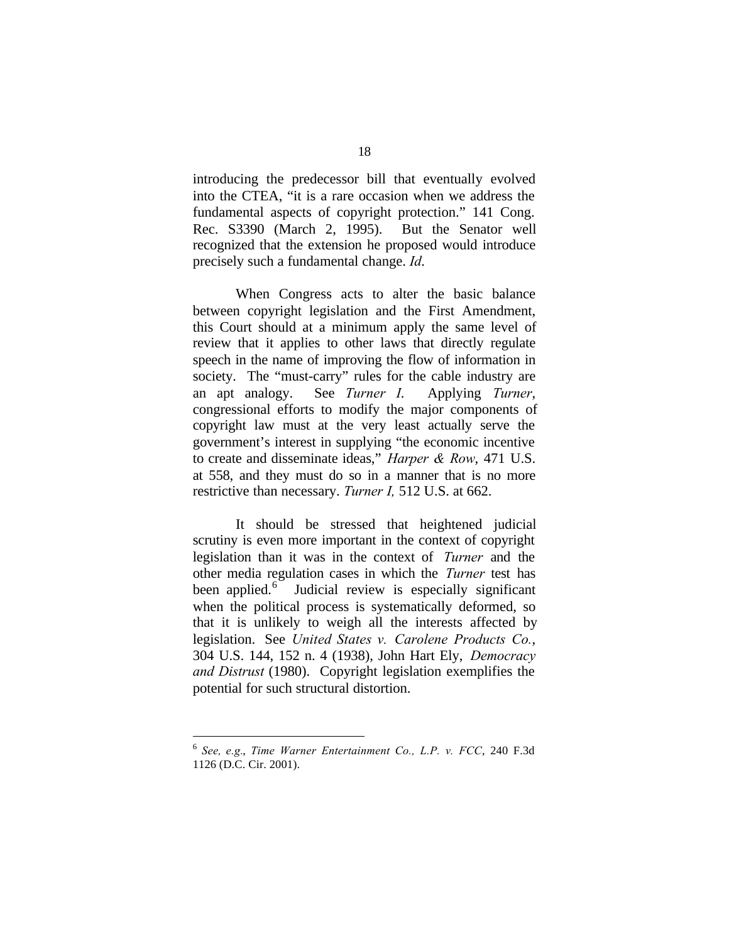introducing the predecessor bill that eventually evolved into the CTEA, "it is a rare occasion when we address the fundamental aspects of copyright protection." 141 Cong. Rec. S3390 (March 2, 1995). But the Senator well recognized that the extension he proposed would introduce precisely such a fundamental change. *Id*.

When Congress acts to alter the basic balance between copyright legislation and the First Amendment, this Court should at a minimum apply the same level of review that it applies to other laws that directly regulate speech in the name of improving the flow of information in society. The "must-carry" rules for the cable industry are an apt analogy. See *Turner I*. Applying *Turner*, congressional efforts to modify the major components of copyright law must at the very least actually serve the government's interest in supplying "the economic incentive to create and disseminate ideas," *Harper & Row*, 471 U.S. at 558, and they must do so in a manner that is no more restrictive than necessary. *Turner I,* 512 U.S. at 662.

It should be stressed that heightened judicial scrutiny is even more important in the context of copyright legislation than it was in the context of *Turner* and the other media regulation cases in which the *Turner* test has been applied.<sup>6</sup> Judicial review is especially significant when the political process is systematically deformed, so that it is unlikely to weigh all the interests affected by legislation. See *United States v. Carolene Products Co.*, 304 U.S. 144, 152 n. 4 (1938), John Hart Ely, *Democracy and Distrust* (1980). Copyright legislation exemplifies the potential for such structural distortion.

 $\overline{a}$ 

<sup>6</sup> *See, e.g.*, *Time Warner Entertainment Co., L.P. v. FCC*, 240 F.3d 1126 (D.C. Cir. 2001).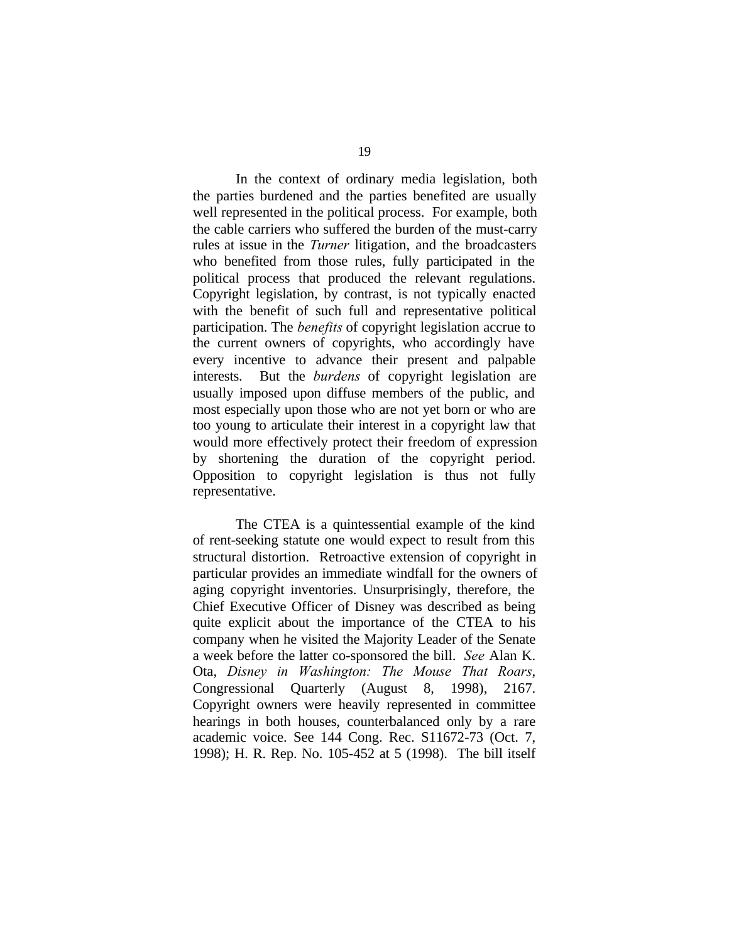In the context of ordinary media legislation, both the parties burdened and the parties benefited are usually well represented in the political process. For example, both the cable carriers who suffered the burden of the must-carry rules at issue in the *Turner* litigation, and the broadcasters who benefited from those rules, fully participated in the political process that produced the relevant regulations. Copyright legislation, by contrast, is not typically enacted with the benefit of such full and representative political participation. The *benefits* of copyright legislation accrue to the current owners of copyrights, who accordingly have every incentive to advance their present and palpable interests. But the *burdens* of copyright legislation are usually imposed upon diffuse members of the public, and most especially upon those who are not yet born or who are too young to articulate their interest in a copyright law that would more effectively protect their freedom of expression by shortening the duration of the copyright period. Opposition to copyright legislation is thus not fully representative.

The CTEA is a quintessential example of the kind of rent-seeking statute one would expect to result from this structural distortion. Retroactive extension of copyright in particular provides an immediate windfall for the owners of aging copyright inventories. Unsurprisingly, therefore, the Chief Executive Officer of Disney was described as being quite explicit about the importance of the CTEA to his company when he visited the Majority Leader of the Senate a week before the latter co-sponsored the bill. *See* Alan K. Ota, *Disney in Washington: The Mouse That Roars*, Congressional Quarterly (August 8, 1998), 2167. Copyright owners were heavily represented in committee hearings in both houses, counterbalanced only by a rare academic voice. See 144 Cong. Rec. S11672-73 (Oct. 7, 1998); H. R. Rep. No. 105-452 at 5 (1998). The bill itself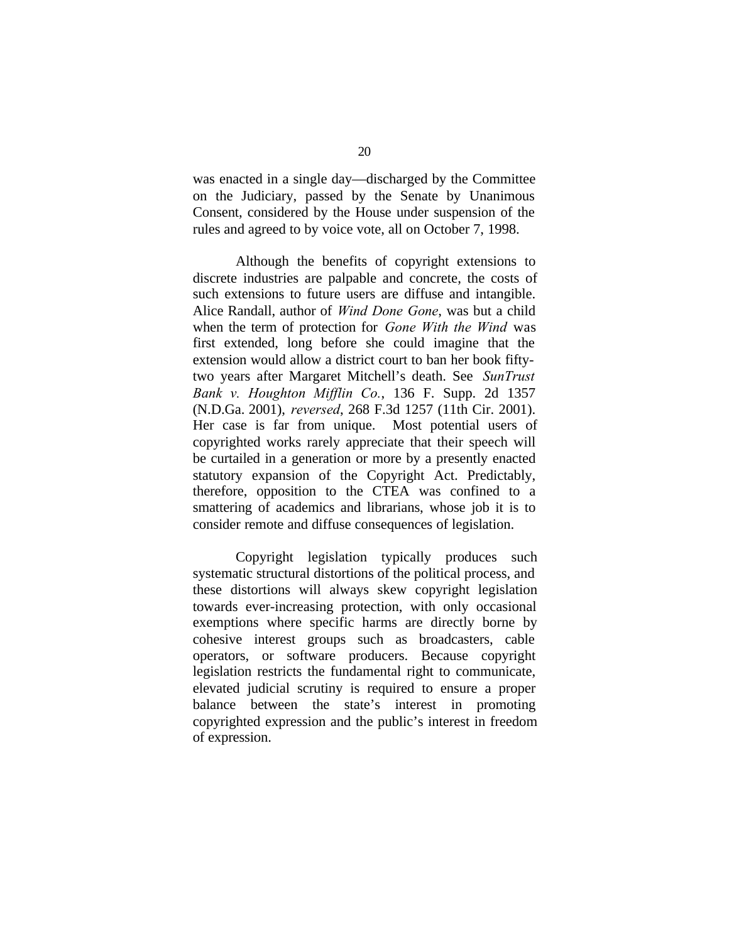was enacted in a single day—discharged by the Committee on the Judiciary, passed by the Senate by Unanimous Consent, considered by the House under suspension of the rules and agreed to by voice vote, all on October 7, 1998.

Although the benefits of copyright extensions to discrete industries are palpable and concrete, the costs of such extensions to future users are diffuse and intangible. Alice Randall, author of *Wind Done Gone*, was but a child when the term of protection for *Gone With the Wind* was first extended, long before she could imagine that the extension would allow a district court to ban her book fiftytwo years after Margaret Mitchell's death. See *SunTrust Bank v. Houghton Mifflin Co.*, 136 F. Supp. 2d 1357 (N.D.Ga. 2001), *reversed*, 268 F.3d 1257 (11th Cir. 2001). Her case is far from unique. Most potential users of copyrighted works rarely appreciate that their speech will be curtailed in a generation or more by a presently enacted statutory expansion of the Copyright Act. Predictably, therefore, opposition to the CTEA was confined to a smattering of academics and librarians, whose job it is to consider remote and diffuse consequences of legislation.

Copyright legislation typically produces such systematic structural distortions of the political process, and these distortions will always skew copyright legislation towards ever-increasing protection, with only occasional exemptions where specific harms are directly borne by cohesive interest groups such as broadcasters, cable operators, or software producers. Because copyright legislation restricts the fundamental right to communicate, elevated judicial scrutiny is required to ensure a proper balance between the state's interest in promoting copyrighted expression and the public's interest in freedom of expression.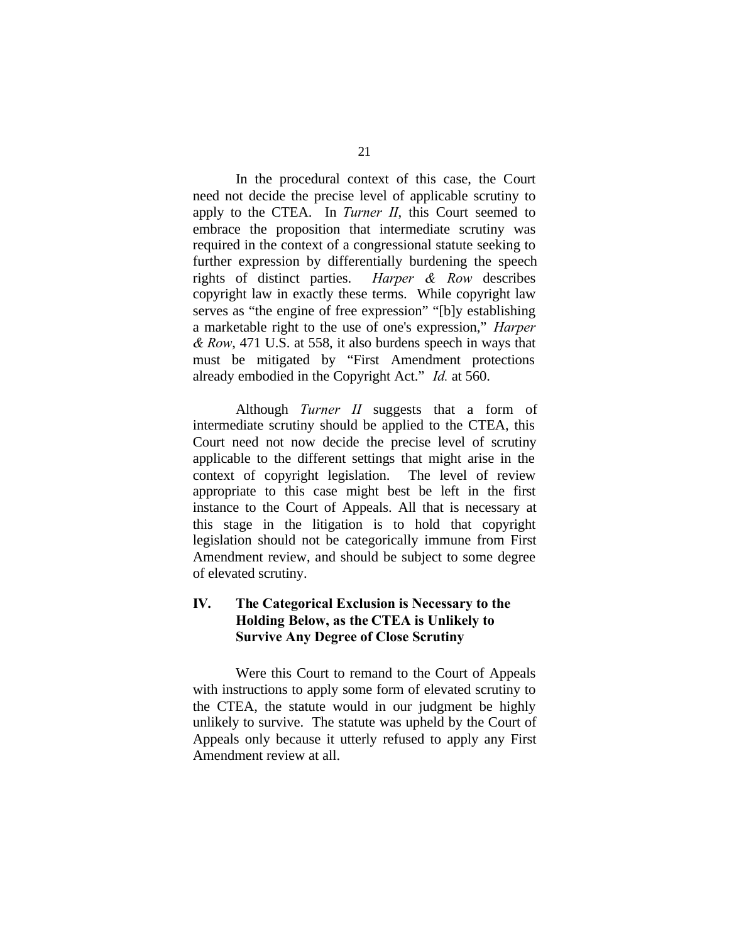In the procedural context of this case, the Court need not decide the precise level of applicable scrutiny to apply to the CTEA. In *Turner II*, this Court seemed to embrace the proposition that intermediate scrutiny was required in the context of a congressional statute seeking to further expression by differentially burdening the speech rights of distinct parties. *Harper & Row* describes copyright law in exactly these terms. While copyright law serves as "the engine of free expression" "[b]y establishing a marketable right to the use of one's expression," *Harper & Row*, 471 U.S. at 558, it also burdens speech in ways that must be mitigated by "First Amendment protections already embodied in the Copyright Act." *Id.* at 560.

Although *Turner II* suggests that a form of intermediate scrutiny should be applied to the CTEA, this Court need not now decide the precise level of scrutiny applicable to the different settings that might arise in the context of copyright legislation. The level of review appropriate to this case might best be left in the first instance to the Court of Appeals. All that is necessary at this stage in the litigation is to hold that copyright legislation should not be categorically immune from First Amendment review, and should be subject to some degree of elevated scrutiny.

## **IV. The Categorical Exclusion is Necessary to the Holding Below, as the CTEA is Unlikely to Survive Any Degree of Close Scrutiny**

Were this Court to remand to the Court of Appeals with instructions to apply some form of elevated scrutiny to the CTEA, the statute would in our judgment be highly unlikely to survive. The statute was upheld by the Court of Appeals only because it utterly refused to apply any First Amendment review at all.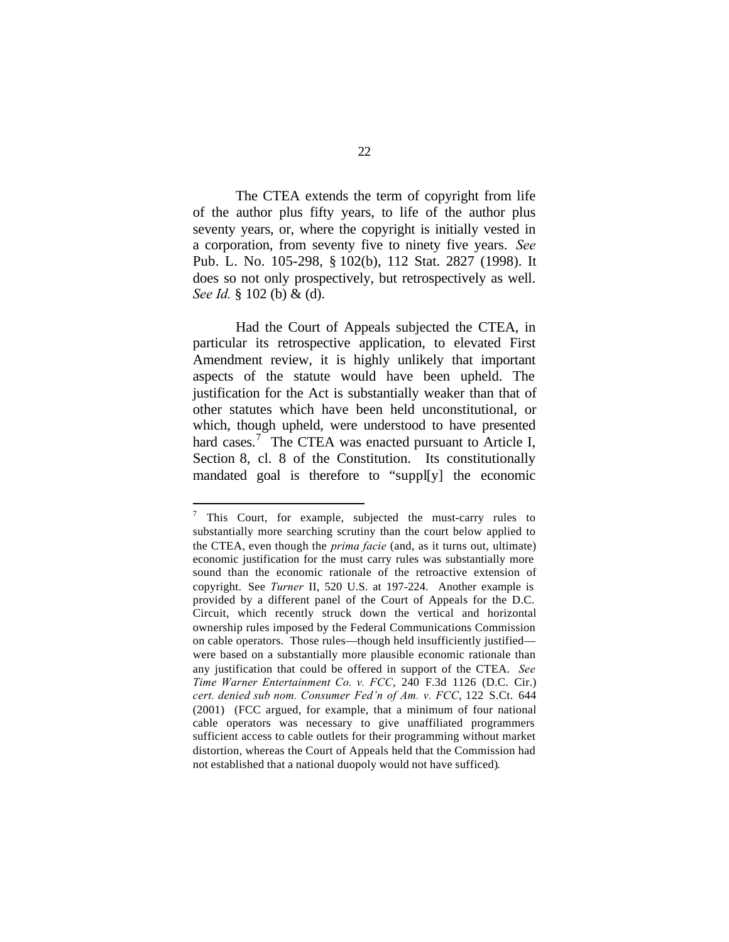The CTEA extends the term of copyright from life of the author plus fifty years, to life of the author plus seventy years, or, where the copyright is initially vested in a corporation, from seventy five to ninety five years. *See* Pub. L. No. 105-298, § 102(b), 112 Stat. 2827 (1998). It does so not only prospectively, but retrospectively as well. *See Id.* § 102 (b) & (d).

Had the Court of Appeals subjected the CTEA, in particular its retrospective application, to elevated First Amendment review, it is highly unlikely that important aspects of the statute would have been upheld. The justification for the Act is substantially weaker than that of other statutes which have been held unconstitutional, or which, though upheld, were understood to have presented hard cases.<sup>7</sup> The CTEA was enacted pursuant to Article I, Section 8, cl. 8 of the Constitution. Its constitutionally mandated goal is therefore to "suppl[y] the economic

 $\overline{a}$ 

 $7$  This Court, for example, subjected the must-carry rules to substantially more searching scrutiny than the court below applied to the CTEA, even though the *prima facie* (and, as it turns out, ultimate) economic justification for the must carry rules was substantially more sound than the economic rationale of the retroactive extension of copyright. See *Turner* II, 520 U.S. at 197-224. Another example is provided by a different panel of the Court of Appeals for the D.C. Circuit, which recently struck down the vertical and horizontal ownership rules imposed by the Federal Communications Commission on cable operators. Those rules—though held insufficiently justified were based on a substantially more plausible economic rationale than any justification that could be offered in support of the CTEA. *See Time Warner Entertainment Co. v. FCC*, 240 F.3d 1126 (D.C. Cir.) *cert. denied sub nom. Consumer Fed'n of Am. v. FCC*, 122 S.Ct. 644 (2001) (FCC argued, for example, that a minimum of four national cable operators was necessary to give unaffiliated programmers sufficient access to cable outlets for their programming without market distortion, whereas the Court of Appeals held that the Commission had not established that a national duopoly would not have sufficed).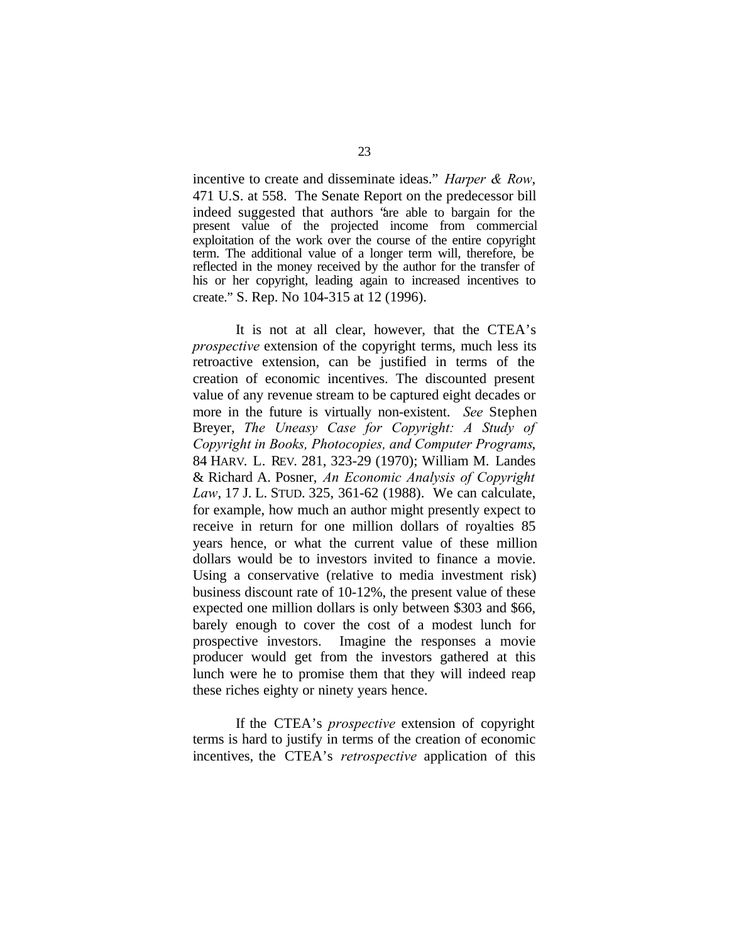incentive to create and disseminate ideas." *Harper & Row*, 471 U.S. at 558. The Senate Report on the predecessor bill indeed suggested that authors "are able to bargain for the present value of the projected income from commercial exploitation of the work over the course of the entire copyright term. The additional value of a longer term will, therefore, be reflected in the money received by the author for the transfer of his or her copyright, leading again to increased incentives to create." S. Rep. No 104-315 at 12 (1996).

It is not at all clear, however, that the CTEA's *prospective* extension of the copyright terms, much less its retroactive extension, can be justified in terms of the creation of economic incentives. The discounted present value of any revenue stream to be captured eight decades or more in the future is virtually non-existent. *See* Stephen Breyer, *The Uneasy Case for Copyright: A Study of Copyright in Books, Photocopies, and Computer Programs*, 84 HARV. L. REV. 281, 323-29 (1970); William M. Landes & Richard A. Posner, *An Economic Analysis of Copyright Law*, 17 J. L. STUD. 325, 361-62 (1988). We can calculate, for example, how much an author might presently expect to receive in return for one million dollars of royalties 85 years hence, or what the current value of these million dollars would be to investors invited to finance a movie. Using a conservative (relative to media investment risk) business discount rate of 10-12%, the present value of these expected one million dollars is only between \$303 and \$66, barely enough to cover the cost of a modest lunch for prospective investors. Imagine the responses a movie producer would get from the investors gathered at this lunch were he to promise them that they will indeed reap these riches eighty or ninety years hence.

If the CTEA's *prospective* extension of copyright terms is hard to justify in terms of the creation of economic incentives, the CTEA's *retrospective* application of this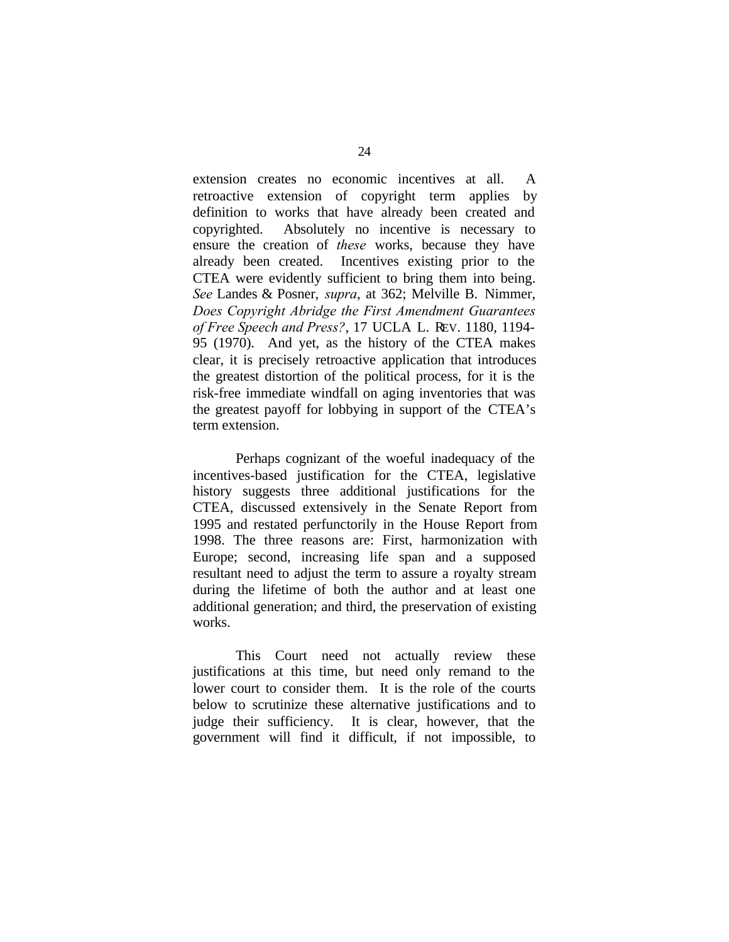extension creates no economic incentives at all. A retroactive extension of copyright term applies by definition to works that have already been created and copyrighted. Absolutely no incentive is necessary to ensure the creation of *these* works, because they have already been created. Incentives existing prior to the CTEA were evidently sufficient to bring them into being. *See* Landes & Posner, *supra*, at 362; Melville B. Nimmer, *Does Copyright Abridge the First Amendment Guarantees of Free Speech and Press?*, 17 UCLA L. REV. 1180, 1194- 95 (1970). And yet, as the history of the CTEA makes clear, it is precisely retroactive application that introduces the greatest distortion of the political process, for it is the risk-free immediate windfall on aging inventories that was the greatest payoff for lobbying in support of the CTEA's term extension.

Perhaps cognizant of the woeful inadequacy of the incentives-based justification for the CTEA, legislative history suggests three additional justifications for the CTEA, discussed extensively in the Senate Report from 1995 and restated perfunctorily in the House Report from 1998. The three reasons are: First, harmonization with Europe; second, increasing life span and a supposed resultant need to adjust the term to assure a royalty stream during the lifetime of both the author and at least one additional generation; and third, the preservation of existing works.

This Court need not actually review these justifications at this time, but need only remand to the lower court to consider them. It is the role of the courts below to scrutinize these alternative justifications and to judge their sufficiency. It is clear, however, that the government will find it difficult, if not impossible, to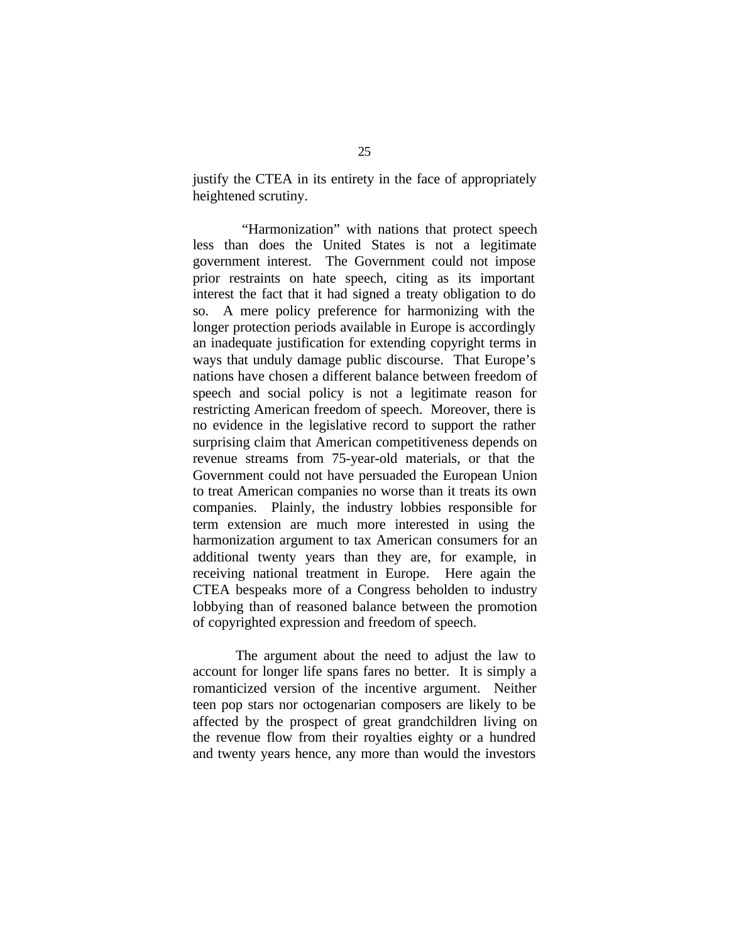justify the CTEA in its entirety in the face of appropriately heightened scrutiny.

 "Harmonization" with nations that protect speech less than does the United States is not a legitimate government interest. The Government could not impose prior restraints on hate speech, citing as its important interest the fact that it had signed a treaty obligation to do so. A mere policy preference for harmonizing with the longer protection periods available in Europe is accordingly an inadequate justification for extending copyright terms in ways that unduly damage public discourse. That Europe's nations have chosen a different balance between freedom of speech and social policy is not a legitimate reason for restricting American freedom of speech. Moreover, there is no evidence in the legislative record to support the rather surprising claim that American competitiveness depends on revenue streams from 75-year-old materials, or that the Government could not have persuaded the European Union to treat American companies no worse than it treats its own companies. Plainly, the industry lobbies responsible for term extension are much more interested in using the harmonization argument to tax American consumers for an additional twenty years than they are, for example, in receiving national treatment in Europe. Here again the CTEA bespeaks more of a Congress beholden to industry lobbying than of reasoned balance between the promotion of copyrighted expression and freedom of speech.

The argument about the need to adjust the law to account for longer life spans fares no better. It is simply a romanticized version of the incentive argument. Neither teen pop stars nor octogenarian composers are likely to be affected by the prospect of great grandchildren living on the revenue flow from their royalties eighty or a hundred and twenty years hence, any more than would the investors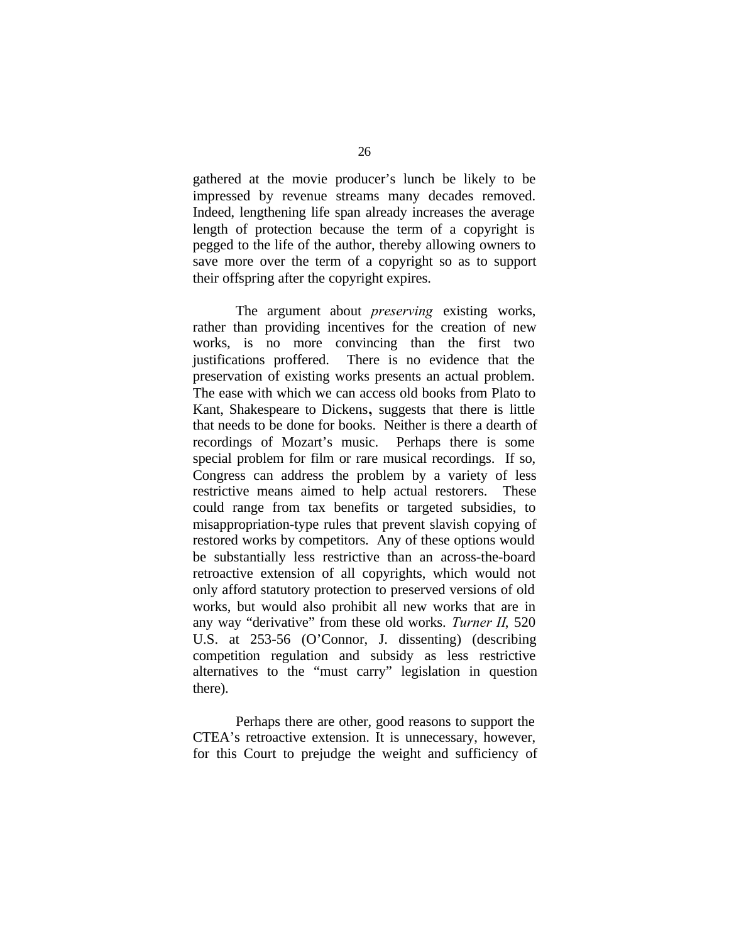gathered at the movie producer's lunch be likely to be impressed by revenue streams many decades removed. Indeed, lengthening life span already increases the average length of protection because the term of a copyright is pegged to the life of the author, thereby allowing owners to save more over the term of a copyright so as to support their offspring after the copyright expires.

The argument about *preserving* existing works, rather than providing incentives for the creation of new works, is no more convincing than the first two justifications proffered. There is no evidence that the preservation of existing works presents an actual problem. The ease with which we can access old books from Plato to Kant, Shakespeare to Dickens**,** suggests that there is little that needs to be done for books. Neither is there a dearth of recordings of Mozart's music. Perhaps there is some special problem for film or rare musical recordings. If so, Congress can address the problem by a variety of less restrictive means aimed to help actual restorers. These could range from tax benefits or targeted subsidies, to misappropriation-type rules that prevent slavish copying of restored works by competitors. Any of these options would be substantially less restrictive than an across-the-board retroactive extension of all copyrights, which would not only afford statutory protection to preserved versions of old works, but would also prohibit all new works that are in any way "derivative" from these old works. *Turner II*, 520 U.S. at 253-56 (O'Connor, J. dissenting) (describing competition regulation and subsidy as less restrictive alternatives to the "must carry" legislation in question there).

Perhaps there are other, good reasons to support the CTEA's retroactive extension. It is unnecessary, however, for this Court to prejudge the weight and sufficiency of